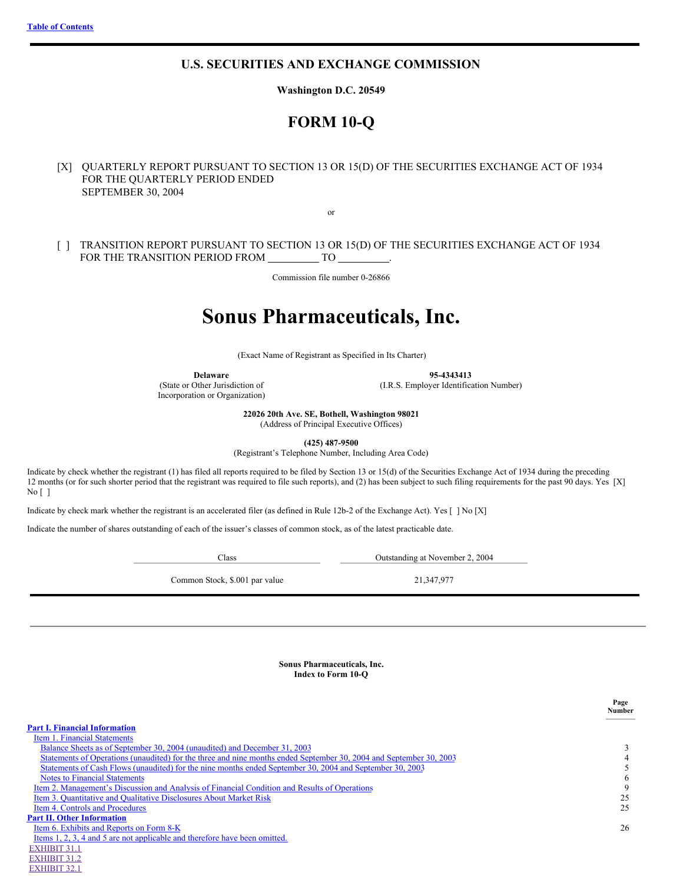## **U.S. SECURITIES AND EXCHANGE COMMISSION**

**Washington D.C. 20549**

## **FORM 10-Q**

[X] QUARTERLY REPORT PURSUANT TO SECTION 13 OR 15(D) OF THE SECURITIES EXCHANGE ACT OF 1934 FOR THE QUARTERLY PERIOD ENDED SEPTEMBER 30, 2004

or

[ ] TRANSITION REPORT PURSUANT TO SECTION 13 OR 15(D) OF THE SECURITIES EXCHANGE ACT OF 1934 FOR THE TRANSITION PERIOD FROM \_\_\_\_\_\_\_\_\_\_ TO \_\_

Commission file number 0-26866

# **Sonus Pharmaceuticals, Inc.**

(Exact Name of Registrant as Specified in Its Charter)

**Delaware** 95-4343413<br>(State or Other Jurisdiction of *I.R.S. Employer Identifice* (I.R.S. Employer Identification Number)

Incorporation or Organization)

**22026 20th Ave. SE, Bothell, Washington 98021** (Address of Principal Executive Offices)

**(425) 487-9500**

(Registrant's Telephone Number, Including Area Code)

Indicate by check whether the registrant (1) has filed all reports required to be filed by Section 13 or 15(d) of the Securities Exchange Act of 1934 during the preceding 12 months (or for such shorter period that the registrant was required to file such reports), and (2) has been subject to such filing requirements for the past 90 days. Yes [X]  $\overline{N_0}$  | |

Indicate by check mark whether the registrant is an accelerated filer (as defined in Rule 12b-2 of the Exchange Act). Yes [ ] No [X]

Indicate the number of shares outstanding of each of the issuer's classes of common stock, as of the latest practicable date.

Class Outstanding at November 2, 2004

Common Stock, \$.001 par value 21,347,977

**Sonus Pharmaceuticals, Inc. Index to Form 10-Q**

<span id="page-0-0"></span>

|                                                                                                                    | Page<br><b>Number</b> |
|--------------------------------------------------------------------------------------------------------------------|-----------------------|
| <b>Part I. Financial Information</b>                                                                               |                       |
| Item 1. Financial Statements                                                                                       |                       |
| Balance Sheets as of September 30, 2004 (unaudited) and December 31, 2003                                          |                       |
| Statements of Operations (unaudited) for the three and nine months ended September 30, 2004 and September 30, 2003 |                       |
| Statements of Cash Flows (unaudited) for the nine months ended September 30, 2004 and September 30, 2003           |                       |
| <b>Notes to Financial Statements</b>                                                                               | 6                     |
| Item 2. Management's Discussion and Analysis of Financial Condition and Results of Operations                      | 9                     |
| Item 3. Quantitative and Qualitative Disclosures About Market Risk                                                 | 25                    |
| Item 4. Controls and Procedures                                                                                    | 25                    |
| <b>Part II. Other Information</b>                                                                                  |                       |
| Item 6. Exhibits and Reports on Form 8-K                                                                           | 26                    |
| Items 1, 2, 3, 4 and 5 are not applicable and therefore have been omitted.                                         |                       |
| <b>EXHIBIT 31.1</b>                                                                                                |                       |
| <b>EXHIBIT 31.2</b>                                                                                                |                       |
| <b>EXHIBIT 32.1</b>                                                                                                |                       |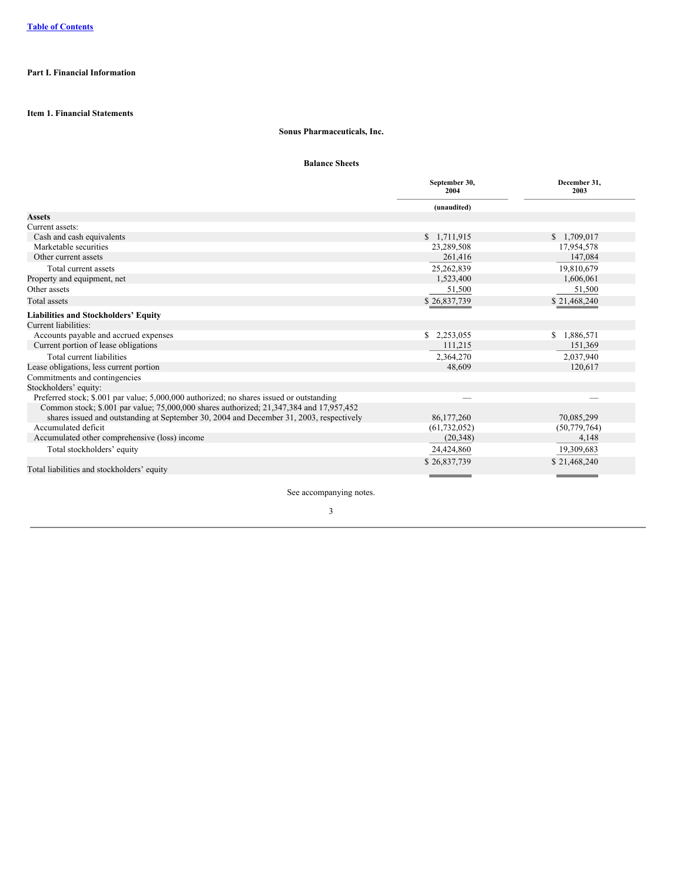## <span id="page-2-1"></span><span id="page-2-0"></span>**Part I. Financial Information**

## **Item 1. Financial Statements**

## **Sonus Pharmaceuticals, Inc.**

## **Balance Sheets**

<span id="page-2-2"></span>

|                                                                                          | September 30,<br>2004                                  | December 31,<br>2003                                   |  |
|------------------------------------------------------------------------------------------|--------------------------------------------------------|--------------------------------------------------------|--|
|                                                                                          | (unaudited)                                            |                                                        |  |
| <b>Assets</b>                                                                            |                                                        |                                                        |  |
| Current assets:                                                                          |                                                        |                                                        |  |
| Cash and cash equivalents                                                                | \$1,711,915                                            | \$1,709,017                                            |  |
| Marketable securities                                                                    | 23,289,508                                             | 17,954,578                                             |  |
| Other current assets                                                                     | 261,416                                                | 147,084                                                |  |
| Total current assets                                                                     | 25,262,839                                             | 19,810,679                                             |  |
| Property and equipment, net                                                              | 1,523,400                                              | 1,606,061                                              |  |
| Other assets                                                                             | 51,500                                                 | 51,500                                                 |  |
| Total assets                                                                             | \$26,837,739                                           | \$21,468,240                                           |  |
| <b>Liabilities and Stockholders' Equity</b>                                              |                                                        |                                                        |  |
| Current liabilities:                                                                     |                                                        |                                                        |  |
| Accounts payable and accrued expenses                                                    | \$2,253,055                                            | \$1,886,571                                            |  |
| Current portion of lease obligations                                                     | 111,215                                                | 151,369                                                |  |
| Total current liabilities                                                                | 2,364,270                                              | 2,037,940                                              |  |
| Lease obligations, less current portion                                                  | 48,609                                                 | 120,617                                                |  |
| Commitments and contingencies                                                            |                                                        |                                                        |  |
| Stockholders' equity:                                                                    |                                                        |                                                        |  |
| Preferred stock; \$.001 par value; 5,000,000 authorized; no shares issued or outstanding |                                                        |                                                        |  |
| Common stock; \$.001 par value; 75,000,000 shares authorized; 21,347,384 and 17,957,452  |                                                        |                                                        |  |
| shares issued and outstanding at September 30, 2004 and December 31, 2003, respectively  | 86,177,260                                             | 70,085,299                                             |  |
| Accumulated deficit                                                                      | (61, 732, 052)                                         | (50, 779, 764)                                         |  |
| Accumulated other comprehensive (loss) income                                            | (20, 348)                                              | 4,148                                                  |  |
| Total stockholders' equity                                                               | 24,424,860                                             | 19,309,683                                             |  |
|                                                                                          | \$26,837,739                                           | \$21,468,240                                           |  |
| Total liabilities and stockholders' equity                                               | <b>The Committee of the Committee of the Committee</b> | <b>The Committee of the Committee of the Committee</b> |  |

See accompanying notes.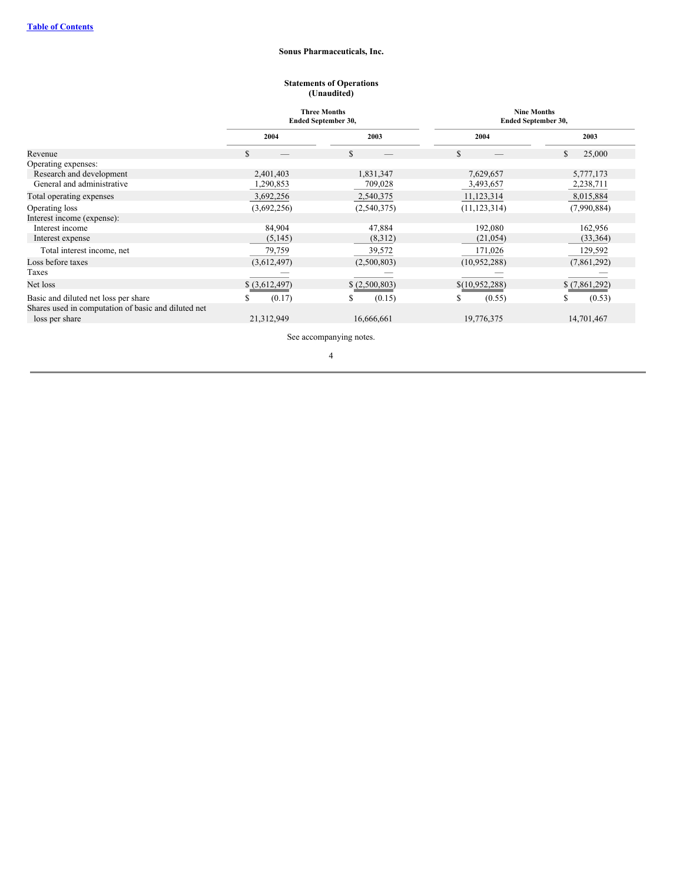## **Sonus Pharmaceuticals, Inc.**

#### **Statements of Operations (Unaudited)**

<span id="page-3-0"></span>

|                                                     | <b>Three Months</b><br>Ended September 30, |               | <b>Nine Months</b><br>Ended September 30, |                      |  |
|-----------------------------------------------------|--------------------------------------------|---------------|-------------------------------------------|----------------------|--|
|                                                     | 2003<br>2004<br>\$.<br>\$.                 |               | 2004                                      | 2003<br>25,000<br>S. |  |
| Revenue                                             |                                            |               | S                                         |                      |  |
| Operating expenses:                                 |                                            |               |                                           |                      |  |
| Research and development                            | 2,401,403                                  | 1,831,347     | 7,629,657                                 | 5,777,173            |  |
| General and administrative                          | ,290,853                                   | 709,028       | 3,493,657                                 | 2,238,711            |  |
| Total operating expenses                            | 3,692,256                                  | 2,540,375     | 11,123,314                                | 8,015,884            |  |
| Operating loss                                      | (3,692,256)                                | (2,540,375)   | (11, 123, 314)                            | (7,990,884)          |  |
| Interest income (expense):                          |                                            |               |                                           |                      |  |
| Interest income                                     | 84,904                                     | 47,884        | 192,080                                   | 162,956              |  |
| Interest expense                                    | (5,145)                                    | (8,312)       | (21, 054)                                 | (33,364)             |  |
| Total interest income, net                          | 79,759                                     | 39,572        | 171,026                                   | 129,592              |  |
| Loss before taxes                                   | (3,612,497)                                | (2,500,803)   | (10,952,288)                              | (7,861,292)          |  |
| Taxes                                               |                                            |               |                                           |                      |  |
| Net loss                                            | $$$ $(3,612,497)$                          | \$(2,500,803) | \$(10,952,288)                            | \$(7,861,292)        |  |
| Basic and diluted net loss per share                | (0.17)                                     | (0.15)<br>\$  | (0.55)                                    | (0.53)               |  |
| Shares used in computation of basic and diluted net |                                            |               |                                           |                      |  |
| loss per share                                      | 21,312,949                                 | 16,666,661    | 19,776,375                                | 14,701,467           |  |

See accompanying notes.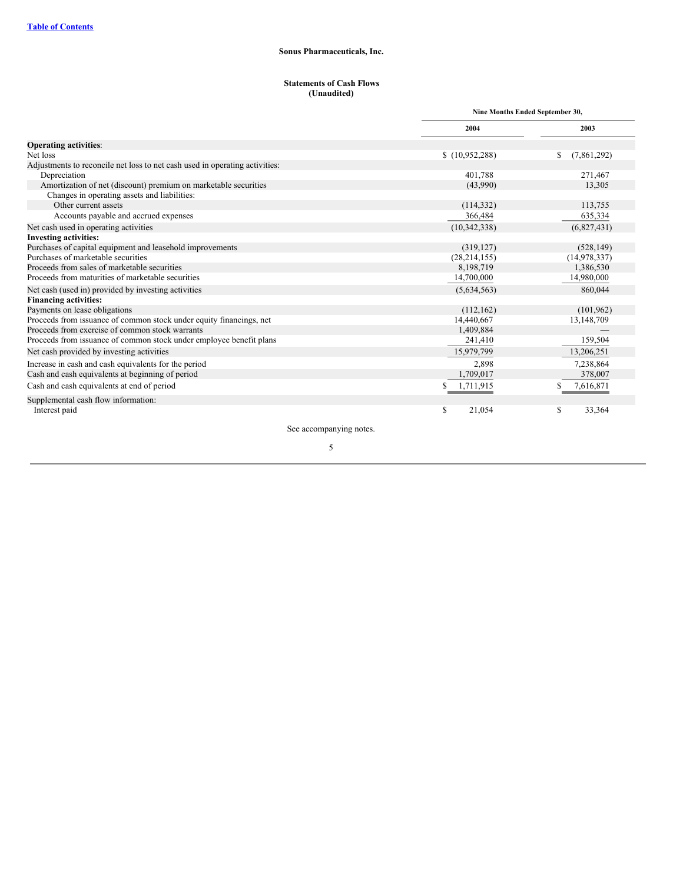#### **Statements of Cash Flows (Unaudited)**

<span id="page-4-0"></span>

|                                                                             |                | Nine Months Ended September 30, |  |  |
|-----------------------------------------------------------------------------|----------------|---------------------------------|--|--|
|                                                                             | 2004           | 2003                            |  |  |
| <b>Operating activities:</b>                                                |                |                                 |  |  |
| Net loss                                                                    | (10,952,288)   | \$<br>(7,861,292)               |  |  |
| Adjustments to reconcile net loss to net cash used in operating activities: |                |                                 |  |  |
| Depreciation                                                                | 401,788        | 271,467                         |  |  |
| Amortization of net (discount) premium on marketable securities             | (43,990)       | 13,305                          |  |  |
| Changes in operating assets and liabilities:                                |                |                                 |  |  |
| Other current assets                                                        | (114, 332)     | 113,755                         |  |  |
| Accounts payable and accrued expenses                                       | 366,484        | 635,334                         |  |  |
| Net cash used in operating activities                                       | (10, 342, 338) | (6,827,431)                     |  |  |
| <b>Investing activities:</b>                                                |                |                                 |  |  |
| Purchases of capital equipment and leasehold improvements                   | (319, 127)     | (528, 149)                      |  |  |
| Purchases of marketable securities                                          | (28, 214, 155) | (14, 978, 337)                  |  |  |
| Proceeds from sales of marketable securities                                | 8,198,719      | 1,386,530                       |  |  |
| Proceeds from maturities of marketable securities                           | 14,700,000     | 14,980,000                      |  |  |
| Net cash (used in) provided by investing activities                         | (5,634,563)    | 860,044                         |  |  |
| <b>Financing activities:</b>                                                |                |                                 |  |  |
| Payments on lease obligations                                               | (112, 162)     | (101, 962)                      |  |  |
| Proceeds from issuance of common stock under equity financings, net         | 14,440,667     | 13,148,709                      |  |  |
| Proceeds from exercise of common stock warrants                             | 1,409,884      |                                 |  |  |
| Proceeds from issuance of common stock under employee benefit plans         | 241.410        | 159,504                         |  |  |
| Net cash provided by investing activities                                   | 15,979,799     | 13,206,251                      |  |  |
| Increase in cash and cash equivalents for the period                        | 2,898          | 7,238,864                       |  |  |
| Cash and cash equivalents at beginning of period                            | 1,709,017      | 378,007                         |  |  |
| Cash and cash equivalents at end of period                                  | 1,711,915      | 7,616,871                       |  |  |
| Supplemental cash flow information:                                         |                |                                 |  |  |
| Interest paid                                                               | \$<br>21,054   | S<br>33,364                     |  |  |

See accompanying notes.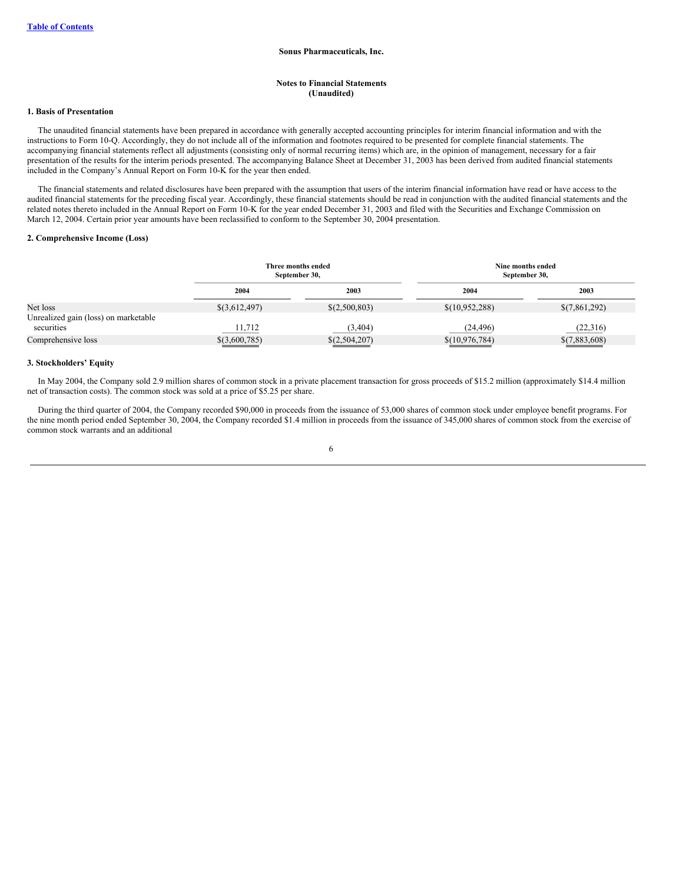#### **Notes to Financial Statements (Unaudited)**

#### <span id="page-5-0"></span>**1. Basis of Presentation**

The unaudited financial statements have been prepared in accordance with generally accepted accounting principles for interim financial information and with the instructions to Form 10-Q. Accordingly, they do not include all of the information and footnotes required to be presented for complete financial statements. The accompanying financial statements reflect all adjustments (consisting only of normal recurring items) which are, in the opinion of management, necessary for a fair presentation of the results for the interim periods presented. The accompanying Balance Sheet at December 31, 2003 has been derived from audited financial statements included in the Company's Annual Report on Form 10-K for the year then ended.

The financial statements and related disclosures have been prepared with the assumption that users of the interim financial information have read or have access to the audited financial statements for the preceding fiscal year. Accordingly, these financial statements should be read in conjunction with the audited financial statements and the related notes thereto included in the Annual Report on Form 10-K for the year ended December 31, 2003 and filed with the Securities and Exchange Commission on March 12, 2004. Certain prior year amounts have been reclassified to conform to the September 30, 2004 presentation.

#### **2. Comprehensive Income (Loss)**

|                                                    |               | Three months ended<br>September 30, |                | Nine months ended<br>September 30, |  |  |
|----------------------------------------------------|---------------|-------------------------------------|----------------|------------------------------------|--|--|
|                                                    | 2004          | 2003                                | 2004           | 2003                               |  |  |
| Net loss                                           | \$(3,612,497) | \$(2,500,803)                       | \$(10,952,288) | \$(7,861,292)                      |  |  |
| Unrealized gain (loss) on marketable<br>securities | 11,712        | (3,404)                             | (24, 496)      | (22,316)                           |  |  |
| Comprehensive loss                                 | \$(3,600,785) | \$(2,504,207)                       | \$(10,976,784) | \$(7,883,608)                      |  |  |

#### **3. Stockholders' Equity**

In May 2004, the Company sold 2.9 million shares of common stock in a private placement transaction for gross proceeds of \$15.2 million (approximately \$14.4 million net of transaction costs). The common stock was sold at a price of \$5.25 per share.

During the third quarter of 2004, the Company recorded \$90,000 in proceeds from the issuance of 53,000 shares of common stock under employee benefit programs. For the nine month period ended September 30, 2004, the Company recorded \$1.4 million in proceeds from the issuance of 345,000 shares of common stock from the exercise of common stock warrants and an additional

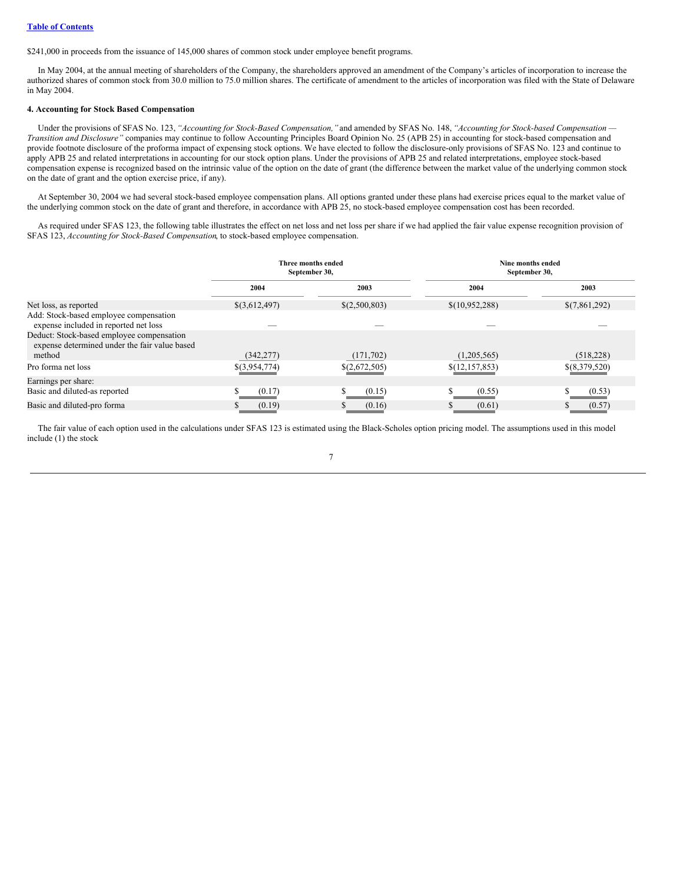\$241,000 in proceeds from the issuance of 145,000 shares of common stock under employee benefit programs.

In May 2004, at the annual meeting of shareholders of the Company, the shareholders approved an amendment of the Company's articles of incorporation to increase the authorized shares of common stock from 30.0 million to 75.0 million shares. The certificate of amendment to the articles of incorporation was filed with the State of Delaware in May 2004.

#### **4. Accounting for Stock Based Compensation**

Under the provisions of SFAS No. 123, *"Accounting for Stock-Based Compensation,"* and amended by SFAS No. 148, *"Accounting for Stock-based Compensation — Transition and Disclosure"* companies may continue to follow Accounting Principles Board Opinion No. 25 (APB 25) in accounting for stock-based compensation and provide footnote disclosure of the proforma impact of expensing stock options. We have elected to follow the disclosure-only provisions of SFAS No. 123 and continue to apply APB 25 and related interpretations in accounting for our stock option plans. Under the provisions of APB 25 and related interpretations, employee stock-based compensation expense is recognized based on the intrinsic value of the option on the date of grant (the difference between the market value of the underlying common stock on the date of grant and the option exercise price, if any).

At September 30, 2004 we had several stock-based employee compensation plans. All options granted under these plans had exercise prices equal to the market value of the underlying common stock on the date of grant and therefore, in accordance with APB 25, no stock-based employee compensation cost has been recorded.

As required under SFAS 123, the following table illustrates the effect on net loss and net loss per share if we had applied the fair value expense recognition provision of SFAS 123, *Accounting for Stock-Based Compensation*, to stock-based employee compensation.

|                                                                                            | Three months ended<br>September 30, |               | Nine months ended<br>September 30, |               |
|--------------------------------------------------------------------------------------------|-------------------------------------|---------------|------------------------------------|---------------|
|                                                                                            | 2004                                | 2003          | 2004                               | 2003          |
| Net loss, as reported                                                                      | \$(3,612,497)                       | \$(2,500,803) | \$(10,952,288)                     | \$(7,861,292) |
| Add: Stock-based employee compensation<br>expense included in reported net loss            |                                     |               |                                    |               |
| Deduct: Stock-based employee compensation<br>expense determined under the fair value based |                                     |               |                                    |               |
| method                                                                                     | (342, 277)                          | (171, 702)    | (1,205,565)                        | (518, 228)    |
| Pro forma net loss                                                                         | \$(3,954,774)                       | \$(2,672,505) | \$(12,157,853)                     | \$(8,379,520) |
| Earnings per share:                                                                        |                                     |               |                                    |               |
| Basic and diluted-as reported                                                              | (0.17)                              | (0.15)        | (0.55)                             | \$<br>(0.53)  |
| Basic and diluted-pro forma                                                                | (0.19)                              | (0.16)        | (0.61)                             | (0.57)<br>\$  |

The fair value of each option used in the calculations under SFAS 123 is estimated using the Black-Scholes option pricing model. The assumptions used in this model include (1) the stock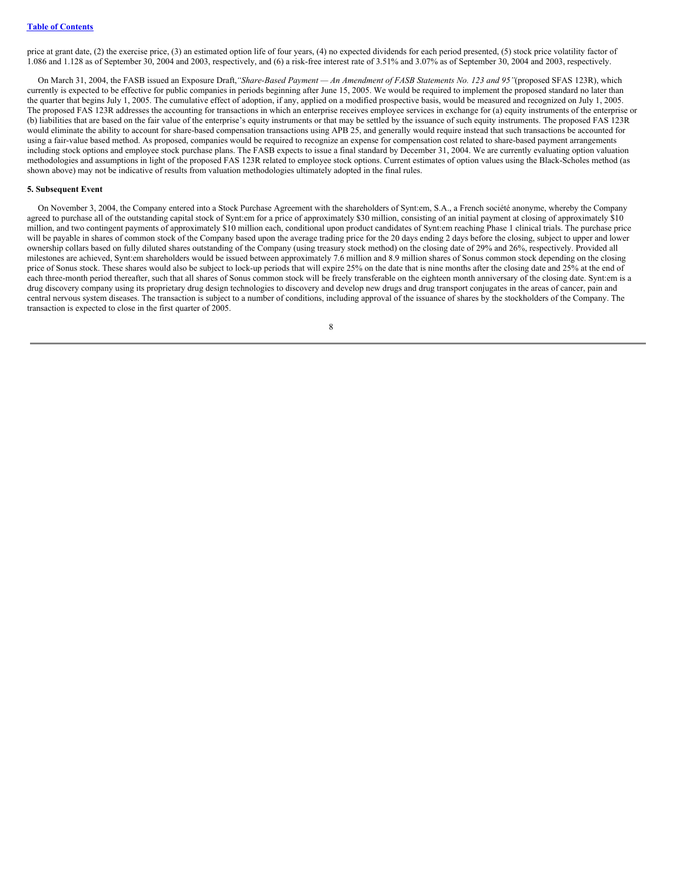price at grant date, (2) the exercise price, (3) an estimated option life of four years, (4) no expected dividends for each period presented, (5) stock price volatility factor of 1.086 and 1.128 as of September 30, 2004 and 2003, respectively, and (6) a risk-free interest rate of 3.51% and 3.07% as of September 30, 2004 and 2003, respectively.

On March 31, 2004, the FASB issued an Exposure Draft, "Share-Based Payment - An Amendment of FASB Statements No. 123 and 95"(proposed SFAS 123R), which currently is expected to be effective for public companies in periods beginning after June 15, 2005. We would be required to implement the proposed standard no later than the quarter that begins July 1, 2005. The cumulative effect of adoption, if any, applied on a modified prospective basis, would be measured and recognized on July 1, 2005. The proposed FAS 123R addresses the accounting for transactions in which an enterprise receives employee services in exchange for (a) equity instruments of the enterprise or (b) liabilities that are based on the fair value of the enterprise's equity instruments or that may be settled by the issuance of such equity instruments. The proposed FAS 123R would eliminate the ability to account for share-based compensation transactions using APB 25, and generally would require instead that such transactions be accounted for using a fair-value based method. As proposed, companies would be required to recognize an expense for compensation cost related to share-based payment arrangements including stock options and employee stock purchase plans. The FASB expects to issue a final standard by December 31, 2004. We are currently evaluating option valuation methodologies and assumptions in light of the proposed FAS 123R related to employee stock options. Current estimates of option values using the Black-Scholes method (as shown above) may not be indicative of results from valuation methodologies ultimately adopted in the final rules.

#### **5. Subsequent Event**

On November 3, 2004, the Company entered into a Stock Purchase Agreement with the shareholders of Synt:em, S.A., a French société anonyme, whereby the Company agreed to purchase all of the outstanding capital stock of Synt:em for a price of approximately \$30 million, consisting of an initial payment at closing of approximately \$10 million, and two contingent payments of approximately \$10 million each, conditional upon product candidates of Synt:em reaching Phase 1 clinical trials. The purchase price will be payable in shares of common stock of the Company based upon the average trading price for the 20 days ending 2 days before the closing, subject to upper and lower ownership collars based on fully diluted shares outstanding of the Company (using treasury stock method) on the closing date of 29% and 26%, respectively. Provided all milestones are achieved, Synt:em shareholders would be issued between approximately 7.6 million and 8.9 million shares of Sonus common stock depending on the closing price of Sonus stock. These shares would also be subject to lock-up periods that will expire 25% on the date that is nine months after the closing date and 25% at the end of each three-month period thereafter, such that all shares of Sonus common stock will be freely transferable on the eighteen month anniversary of the closing date. Synt:em is a drug discovery company using its proprietary drug design technologies to discovery and develop new drugs and drug transport conjugates in the areas of cancer, pain and central nervous system diseases. The transaction is subject to a number of conditions, including approval of the issuance of shares by the stockholders of the Company. The transaction is expected to close in the first quarter of 2005.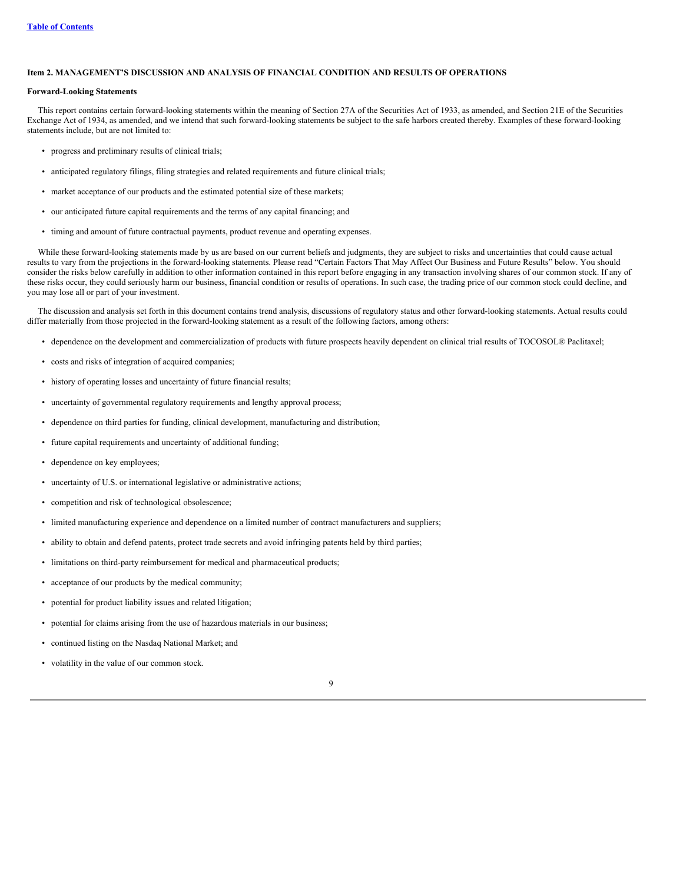#### <span id="page-8-0"></span>**Item 2. MANAGEMENT'S DISCUSSION AND ANALYSIS OF FINANCIAL CONDITION AND RESULTS OF OPERATIONS**

#### **Forward-Looking Statements**

This report contains certain forward-looking statements within the meaning of Section 27A of the Securities Act of 1933, as amended, and Section 21E of the Securities Exchange Act of 1934, as amended, and we intend that such forward-looking statements be subject to the safe harbors created thereby. Examples of these forward-looking statements include, but are not limited to:

- progress and preliminary results of clinical trials;
- anticipated regulatory filings, filing strategies and related requirements and future clinical trials;
- market acceptance of our products and the estimated potential size of these markets;
- our anticipated future capital requirements and the terms of any capital financing; and
- timing and amount of future contractual payments, product revenue and operating expenses.

While these forward-looking statements made by us are based on our current beliefs and judgments, they are subject to risks and uncertainties that could cause actual results to vary from the projections in the forward-looking statements. Please read "Certain Factors That May Affect Our Business and Future Results" below. You should consider the risks below carefully in addition to other information contained in this report before engaging in any transaction involving shares of our common stock. If any of these risks occur, they could seriously harm our business, financial condition or results of operations. In such case, the trading price of our common stock could decline, and you may lose all or part of your investment.

The discussion and analysis set forth in this document contains trend analysis, discussions of regulatory status and other forward-looking statements. Actual results could differ materially from those projected in the forward-looking statement as a result of the following factors, among others:

- dependence on the development and commercialization of products with future prospects heavily dependent on clinical trial results of TOCOSOL® Paclitaxel;
- costs and risks of integration of acquired companies;
- history of operating losses and uncertainty of future financial results;
- uncertainty of governmental regulatory requirements and lengthy approval process;
- dependence on third parties for funding, clinical development, manufacturing and distribution;
- future capital requirements and uncertainty of additional funding;
- dependence on key employees;
- uncertainty of U.S. or international legislative or administrative actions;
- competition and risk of technological obsolescence;
- limited manufacturing experience and dependence on a limited number of contract manufacturers and suppliers;
- ability to obtain and defend patents, protect trade secrets and avoid infringing patents held by third parties;
- limitations on third-party reimbursement for medical and pharmaceutical products;
- acceptance of our products by the medical community;
- potential for product liability issues and related litigation;
- potential for claims arising from the use of hazardous materials in our business;
- continued listing on the Nasdaq National Market; and
- volatility in the value of our common stock.

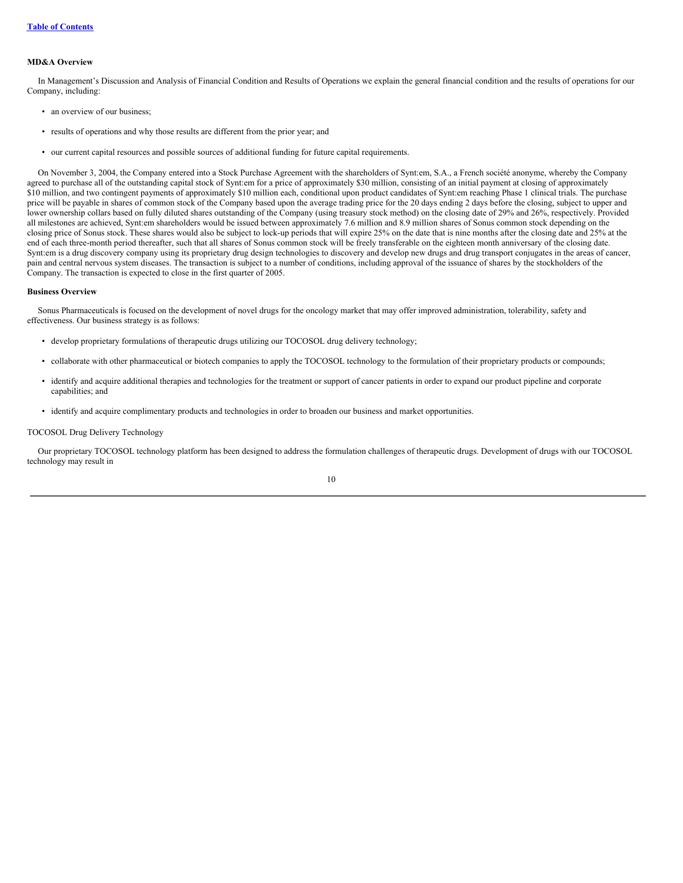#### **MD&A Overview**

In Management's Discussion and Analysis of Financial Condition and Results of Operations we explain the general financial condition and the results of operations for our Company, including:

- an overview of our business;
- results of operations and why those results are different from the prior year; and
- our current capital resources and possible sources of additional funding for future capital requirements.

On November 3, 2004, the Company entered into a Stock Purchase Agreement with the shareholders of Synt:em, S.A., a French société anonyme, whereby the Company agreed to purchase all of the outstanding capital stock of Synt:em for a price of approximately \$30 million, consisting of an initial payment at closing of approximately \$10 million, and two contingent payments of approximately \$10 million each, conditional upon product candidates of Synt: em reaching Phase 1 clinical trials. The purchase price will be payable in shares of common stock of the Company based upon the average trading price for the 20 days ending 2 days before the closing, subject to upper and lower ownership collars based on fully diluted shares outstanding of the Company (using treasury stock method) on the closing date of 29% and 26%, respectively. Provided all milestones are achieved, Synt:em shareholders would be issued between approximately 7.6 million and 8.9 million shares of Sonus common stock depending on the closing price of Sonus stock. These shares would also be subject to lock-up periods that will expire 25% on the date that is nine months after the closing date and 25% at the end of each three-month period thereafter, such that all shares of Sonus common stock will be freely transferable on the eighteen month anniversary of the closing date. Synt:em is a drug discovery company using its proprietary drug design technologies to discovery and develop new drugs and drug transport conjugates in the areas of cancer, pain and central nervous system diseases. The transaction is subject to a number of conditions, including approval of the issuance of shares by the stockholders of the Company. The transaction is expected to close in the first quarter of 2005.

#### **Business Overview**

Sonus Pharmaceuticals is focused on the development of novel drugs for the oncology market that may offer improved administration, tolerability, safety and effectiveness. Our business strategy is as follows:

- develop proprietary formulations of therapeutic drugs utilizing our TOCOSOL drug delivery technology;
- collaborate with other pharmaceutical or biotech companies to apply the TOCOSOL technology to the formulation of their proprietary products or compounds;
- identify and acquire additional therapies and technologies for the treatment or support of cancer patients in order to expand our product pipeline and corporate capabilities; and
- identify and acquire complimentary products and technologies in order to broaden our business and market opportunities.

#### TOCOSOL Drug Delivery Technology

Our proprietary TOCOSOL technology platform has been designed to address the formulation challenges of therapeutic drugs. Development of drugs with our TOCOSOL technology may result in

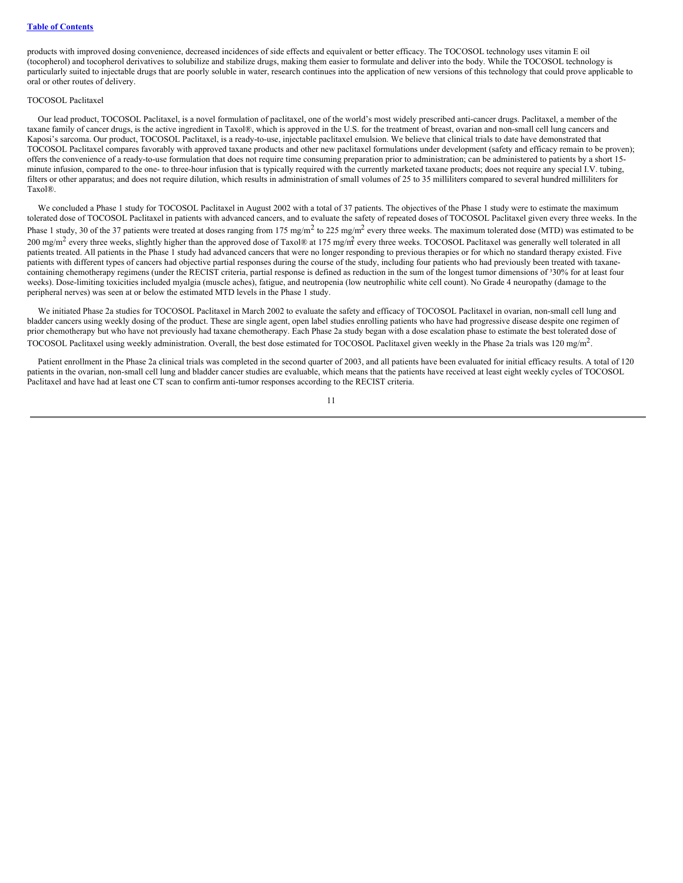#### **Table of [Contents](#page-0-0)**

products with improved dosing convenience, decreased incidences of side effects and equivalent or better efficacy. The TOCOSOL technology uses vitamin E oil (tocopherol) and tocopherol derivatives to solubilize and stabilize drugs, making them easier to formulate and deliver into the body. While the TOCOSOL technology is particularly suited to injectable drugs that are poorly soluble in water, research continues into the application of new versions of this technology that could prove applicable to oral or other routes of delivery.

#### TOCOSOL Paclitaxel

Our lead product, TOCOSOL Paclitaxel, is a novel formulation of paclitaxel, one of the world's most widely prescribed anti-cancer drugs. Paclitaxel, a member of the taxane family of cancer drugs, is the active ingredient in Taxol®, which is approved in the U.S. for the treatment of breast, ovarian and non-small cell lung cancers and Kaposi's sarcoma. Our product, TOCOSOL Paclitaxel, is a ready-to-use, injectable paclitaxel emulsion. We believe that clinical trials to date have demonstrated that TOCOSOL Paclitaxel compares favorably with approved taxane products and other new paclitaxel formulations under development (safety and efficacy remain to be proven); offers the convenience of a ready-to-use formulation that does not require time consuming preparation prior to administration; can be administered to patients by a short 15 minute infusion, compared to the one- to three-hour infusion that is typically required with the currently marketed taxane products; does not require any special I.V. tubing, filters or other apparatus; and does not require dilution, which results in administration of small volumes of 25 to 35 milliliters compared to several hundred milliliters for Taxol®.

We concluded a Phase 1 study for TOCOSOL Paclitaxel in August 2002 with a total of 37 patients. The objectives of the Phase 1 study were to estimate the maximum tolerated dose of TOCOSOL Paclitaxel in patients with advanced cancers, and to evaluate the safety of repeated doses of TOCOSOL Paclitaxel given every three weeks. In the Phase 1 study, 30 of the 37 patients were treated at doses ranging from 175 mg/m<sup>2</sup> to 225 mg/m<sup>2</sup> every three weeks. The maximum tolerated dose (MTD) was estimated to be 200 mg/m<sup>2</sup> every three weeks, slightly higher than the approved dose of Taxol® at 175 mg/m<sup>2</sup> every three weeks. TOCOSOL Paclitaxel was generally well tolerated in all patients treated. All patients in the Phase 1 study had advanced cancers that were no longer responding to previous therapies or for which no standard therapy existed. Five patients with different types of cancers had objective partial responses during the course of the study, including four patients who had previously been treated with taxanecontaining chemotherapy regimens (under the RECIST criteria, partial response is defined as reduction in the sum of the longest tumor dimensions of ³30% for at least four weeks). Dose-limiting toxicities included myalgia (muscle aches), fatigue, and neutropenia (low neutrophilic white cell count). No Grade 4 neuropathy (damage to the peripheral nerves) was seen at or below the estimated MTD levels in the Phase 1 study.

We initiated Phase 2a studies for TOCOSOL Paclitaxel in March 2002 to evaluate the safety and efficacy of TOCOSOL Paclitaxel in ovarian, non-small cell lung and bladder cancers using weekly dosing of the product. These are single agent, open label studies enrolling patients who have had progressive disease despite one regimen of prior chemotherapy but who have not previously had taxane chemotherapy. Each Phase 2a study began with a dose escalation phase to estimate the best tolerated dose of TOCOSOL Paclitaxel using weekly administration. Overall, the best dose estimated for TOCOSOL Paclitaxel given weekly in the Phase 2a trials was 120 mg/m<sup>2</sup>.

Patient enrollment in the Phase 2a clinical trials was completed in the second quarter of 2003, and all patients have been evaluated for initial efficacy results. A total of 120 patients in the ovarian, non-small cell lung and bladder cancer studies are evaluable, which means that the patients have received at least eight weekly cycles of TOCOSOL Paclitaxel and have had at least one CT scan to confirm anti-tumor responses according to the RECIST criteria.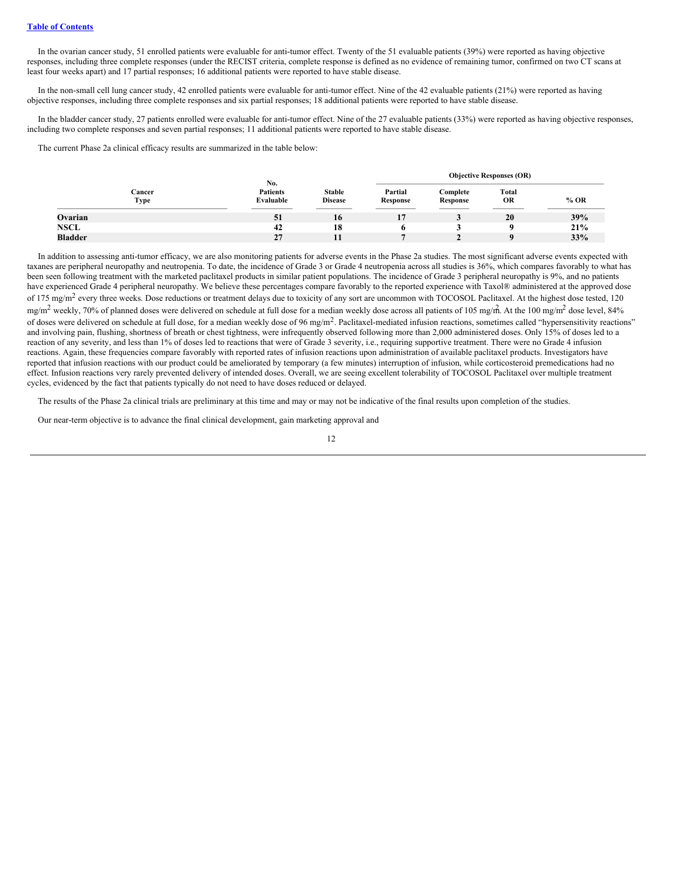In the ovarian cancer study, 51 enrolled patients were evaluable for anti-tumor effect. Twenty of the 51 evaluable patients (39%) were reported as having objective responses, including three complete responses (under the RECIST criteria, complete response is defined as no evidence of remaining tumor, confirmed on two CT scans at least four weeks apart) and 17 partial responses; 16 additional patients were reported to have stable disease.

In the non-small cell lung cancer study, 42 enrolled patients were evaluable for anti-tumor effect. Nine of the 42 evaluable patients (21%) were reported as having objective responses, including three complete responses and six partial responses; 18 additional patients were reported to have stable disease.

In the bladder cancer study, 27 patients enrolled were evaluable for anti-tumor effect. Nine of the 27 evaluable patients (33%) were reported as having objective responses, including two complete responses and seven partial responses; 11 additional patients were reported to have stable disease.

The current Phase 2a clinical efficacy results are summarized in the table below:

|                | No.                          |                                 |                     |                      | <b>Objective Responses (OR)</b> |        |
|----------------|------------------------------|---------------------------------|---------------------|----------------------|---------------------------------|--------|
| Cancer<br>Type | <b>Patients</b><br>Evaluable | <b>Stable</b><br><b>Disease</b> | Partial<br>Response | Complete<br>Response | Total<br>OR                     | $%$ OR |
| Ovarian        | 51                           | 16                              |                     |                      | 20                              | 39%    |
| <b>NSCL</b>    | 42                           | 18                              |                     |                      |                                 | 21%    |
| <b>Bladder</b> | 27                           |                                 |                     |                      | $\Omega$                        | 33%    |

In addition to assessing anti-tumor efficacy, we are also monitoring patients for adverse events in the Phase 2a studies. The most significant adverse events expected with taxanes are peripheral neuropathy and neutropenia. To date, the incidence of Grade 3 or Grade 4 neutropenia across all studies is 36%, which compares favorably to what has been seen following treatment with the marketed paclitaxel products in similar patient populations. The incidence of Grade 3 peripheral neuropathy is 9%, and no patients have experienced Grade 4 peripheral neuropathy. We believe these percentages compare favorably to the reported experience with Taxol® administered at the approved dose of 175 mg/m<sup>2</sup> every three weeks. Dose reductions or treatment delays due to toxicity of any sort are uncommon with TOCOSOL Paclitaxel. At the highest dose tested, 120 mg/m<sup>2</sup> weekly, 70% of planned doses were delivered on schedule at full dose for a median weekly dose across all patients of 105 mg/m<sup>2</sup>. At the 100 mg/m<sup>2</sup> dose level, 84% of doses were delivered on schedule at full dose, for a median weekly dose of 96 mg/m<sup>2</sup>. Paclitaxel-mediated infusion reactions, sometimes called "hypersensitivity reactions" and involving pain, flushing, shortness of breath or chest tightness, were infrequently observed following more than 2,000 administered doses. Only 15% of doses led to a reaction of any severity, and less than 1% of doses led to reactions that were of Grade 3 severity, i.e., requiring supportive treatment. There were no Grade 4 infusion reactions. Again, these frequencies compare favorably with reported rates of infusion reactions upon administration of available paclitaxel products. Investigators have reported that infusion reactions with our product could be ameliorated by temporary (a few minutes) interruption of infusion, while corticosteroid premedications had no effect. Infusion reactions very rarely prevented delivery of intended doses. Overall, we are seeing excellent tolerability of TOCOSOL Paclitaxel over multiple treatment cycles, evidenced by the fact that patients typically do not need to have doses reduced or delayed.

The results of the Phase 2a clinical trials are preliminary at this time and may or may not be indicative of the final results upon completion of the studies.

Our near-term objective is to advance the final clinical development, gain marketing approval and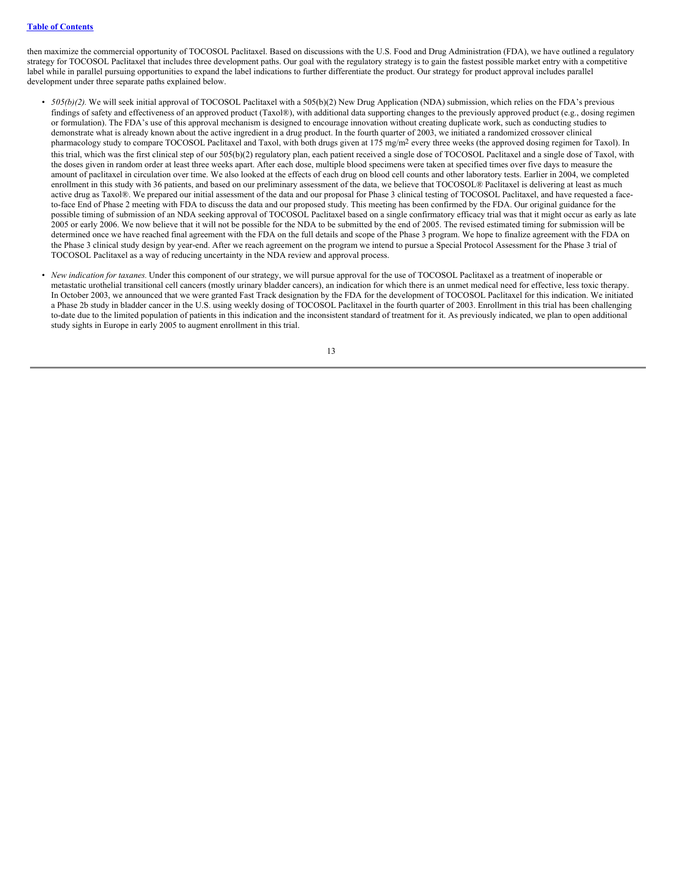then maximize the commercial opportunity of TOCOSOL Paclitaxel. Based on discussions with the U.S. Food and Drug Administration (FDA), we have outlined a regulatory strategy for TOCOSOL Paclitaxel that includes three development paths. Our goal with the regulatory strategy is to gain the fastest possible market entry with a competitive label while in parallel pursuing opportunities to expand the label indications to further differentiate the product. Our strategy for product approval includes parallel development under three separate paths explained below.

- *505(b)(2)*. We will seek initial approval of TOCOSOL Paclitaxel with a 505(b)(2) New Drug Application (NDA) submission, which relies on the FDA's previous findings of safety and effectiveness of an approved product (Taxol®), with additional data supporting changes to the previously approved product (e.g., dosing regimen or formulation). The FDA's use of this approval mechanism is designed to encourage innovation without creating duplicate work, such as conducting studies to demonstrate what is already known about the active ingredient in a drug product. In the fourth quarter of 2003, we initiated a randomized crossover clinical pharmacology study to compare TOCOSOL Paclitaxel and Taxol, with both drugs given at 175 mg/m2 every three weeks (the approved dosing regimen for Taxol). In this trial, which was the first clinical step of our 505(b)(2) regulatory plan, each patient received a single dose of TOCOSOL Paclitaxel and a single dose of Taxol, with the doses given in random order at least three weeks apart. After each dose, multiple blood specimens were taken at specified times over five days to measure the amount of paclitaxel in circulation over time. We also looked at the effects of each drug on blood cell counts and other laboratory tests. Earlier in 2004, we completed enrollment in this study with 36 patients, and based on our preliminary assessment of the data, we believe that TOCOSOL® Paclitaxel is delivering at least as much active drug as Taxol®. We prepared our initial assessment of the data and our proposal for Phase 3 clinical testing of TOCOSOL Paclitaxel, and have requested a faceto-face End of Phase 2 meeting with FDA to discuss the data and our proposed study. This meeting has been confirmed by the FDA. Our original guidance for the possible timing of submission of an NDA seeking approval of TOCOSOL Paclitaxel based on a single confirmatory efficacy trial was that it might occur as early as late 2005 or early 2006. We now believe that it will not be possible for the NDA to be submitted by the end of 2005. The revised estimated timing for submission will be determined once we have reached final agreement with the FDA on the full details and scope of the Phase 3 program. We hope to finalize agreement with the FDA on the Phase 3 clinical study design by year-end. After we reach agreement on the program we intend to pursue a Special Protocol Assessment for the Phase 3 trial of TOCOSOL Paclitaxel as a way of reducing uncertainty in the NDA review and approval process.
- *New indication for taxanes.* Under this component of our strategy, we will pursue approval for the use of TOCOSOL Paclitaxel as a treatment of inoperable or metastatic urothelial transitional cell cancers (mostly urinary bladder cancers), an indication for which there is an unmet medical need for effective, less toxic therapy. In October 2003, we announced that we were granted Fast Track designation by the FDA for the development of TOCOSOL Paclitaxel for this indication. We initiated a Phase 2b study in bladder cancer in the U.S. using weekly dosing of TOCOSOL Paclitaxel in the fourth quarter of 2003. Enrollment in this trial has been challenging to-date due to the limited population of patients in this indication and the inconsistent standard of treatment for it. As previously indicated, we plan to open additional study sights in Europe in early 2005 to augment enrollment in this trial.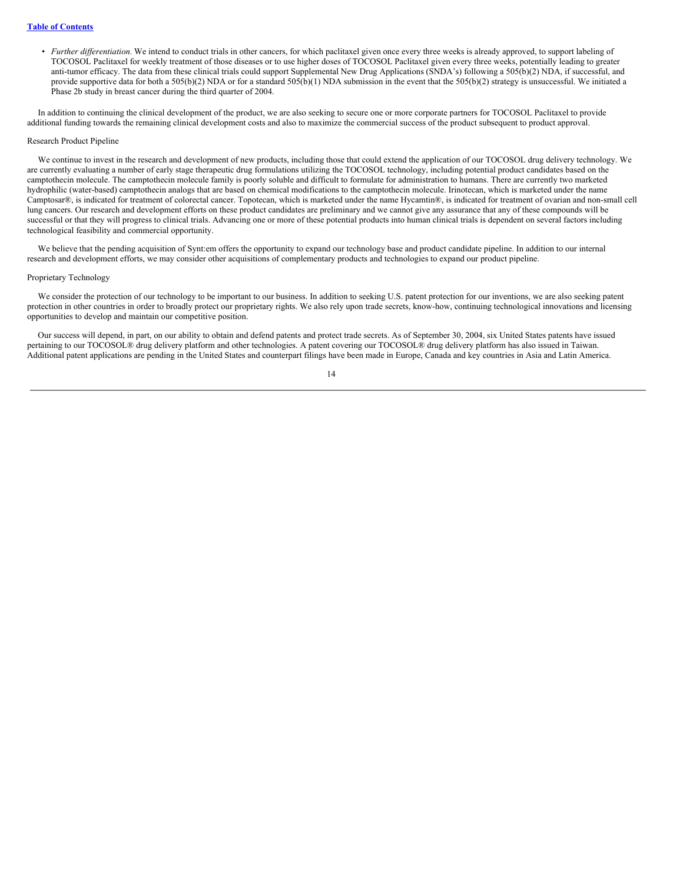#### **Table of [Contents](#page-0-0)**

• *Further differentiation*. We intend to conduct trials in other cancers, for which paclitaxel given once every three weeks is already approved, to support labeling of TOCOSOL Paclitaxel for weekly treatment of those diseases or to use higher doses of TOCOSOL Paclitaxel given every three weeks, potentially leading to greater anti-tumor efficacy. The data from these clinical trials could support Supplemental New Drug Applications (SNDA's) following a 505(b)(2) NDA, if successful, and provide supportive data for both a 505(b)(2) NDA or for a standard 505(b)(1) NDA submission in the event that the 505(b)(2) strategy is unsuccessful. We initiated a Phase 2b study in breast cancer during the third quarter of 2004.

In addition to continuing the clinical development of the product, we are also seeking to secure one or more corporate partners for TOCOSOL Paclitaxel to provide additional funding towards the remaining clinical development costs and also to maximize the commercial success of the product subsequent to product approval.

#### Research Product Pipeline

We continue to invest in the research and development of new products, including those that could extend the application of our TOCOSOL drug delivery technology. We are currently evaluating a number of early stage therapeutic drug formulations utilizing the TOCOSOL technology, including potential product candidates based on the camptothecin molecule. The camptothecin molecule family is poorly soluble and difficult to formulate for administration to humans. There are currently two marketed hydrophilic (water-based) camptothecin analogs that are based on chemical modifications to the camptothecin molecule. Irinotecan, which is marketed under the name Camptosar®, is indicated for treatment of colorectal cancer. Topotecan, which is marketed under the name Hycamtin®, is indicated for treatment of ovarian and non-small cell lung cancers. Our research and development efforts on these product candidates are preliminary and we cannot give any assurance that any of these compounds will be successful or that they will progress to clinical trials. Advancing one or more of these potential products into human clinical trials is dependent on several factors including technological feasibility and commercial opportunity.

We believe that the pending acquisition of Synt:em offers the opportunity to expand our technology base and product candidate pipeline. In addition to our internal research and development efforts, we may consider other acquisitions of complementary products and technologies to expand our product pipeline.

#### Proprietary Technology

We consider the protection of our technology to be important to our business. In addition to seeking U.S. patent protection for our inventions, we are also seeking patent protection in other countries in order to broadly protect our proprietary rights. We also rely upon trade secrets, know-how, continuing technological innovations and licensing opportunities to develop and maintain our competitive position.

Our success will depend, in part, on our ability to obtain and defend patents and protect trade secrets. As of September 30, 2004, six United States patents have issued pertaining to our TOCOSOL® drug delivery platform and other technologies. A patent covering our TOCOSOL® drug delivery platform has also issued in Taiwan. Additional patent applications are pending in the United States and counterpart filings have been made in Europe, Canada and key countries in Asia and Latin America.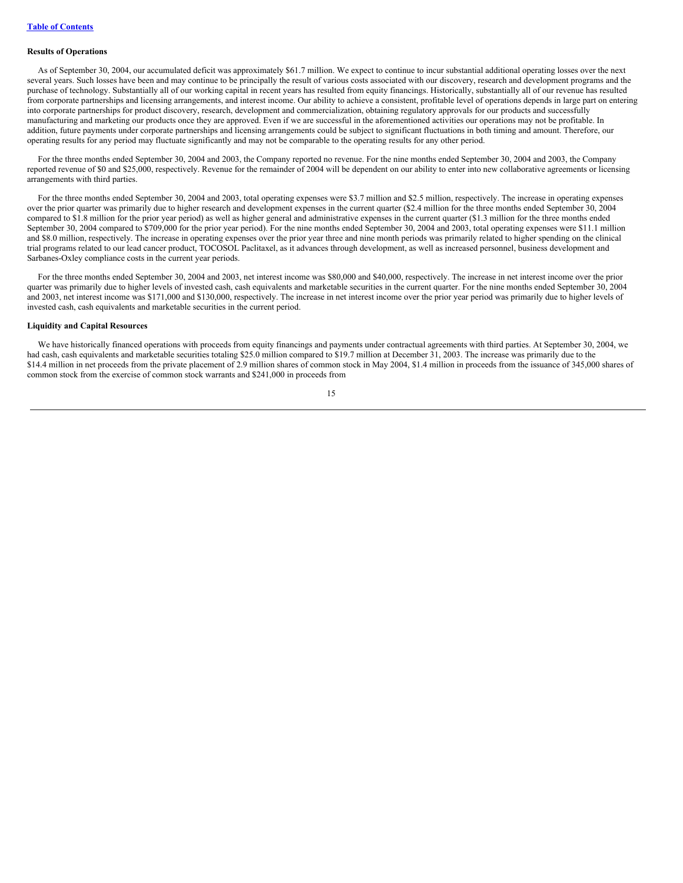#### **Results of Operations**

As of September 30, 2004, our accumulated deficit was approximately \$61.7 million. We expect to continue to incur substantial additional operating losses over the next several years. Such losses have been and may continue to be principally the result of various costs associated with our discovery, research and development programs and the purchase of technology. Substantially all of our working capital in recent years has resulted from equity financings. Historically, substantially all of our revenue has resulted from corporate partnerships and licensing arrangements, and interest income. Our ability to achieve a consistent, profitable level of operations depends in large part on entering into corporate partnerships for product discovery, research, development and commercialization, obtaining regulatory approvals for our products and successfully manufacturing and marketing our products once they are approved. Even if we are successful in the aforementioned activities our operations may not be profitable. In addition, future payments under corporate partnerships and licensing arrangements could be subject to significant fluctuations in both timing and amount. Therefore, our operating results for any period may fluctuate significantly and may not be comparable to the operating results for any other period.

For the three months ended September 30, 2004 and 2003, the Company reported no revenue. For the nine months ended September 30, 2004 and 2003, the Company reported revenue of \$0 and \$25,000, respectively. Revenue for the remainder of 2004 will be dependent on our ability to enter into new collaborative agreements or licensing arrangements with third parties.

For the three months ended September 30, 2004 and 2003, total operating expenses were \$3.7 million and \$2.5 million, respectively. The increase in operating expenses over the prior quarter was primarily due to higher research and development expenses in the current quarter (\$2.4 million for the three months ended September 30, 2004 compared to \$1.8 million for the prior year period) as well as higher general and administrative expenses in the current quarter (\$1.3 million for the three months ended September 30, 2004 compared to \$709,000 for the prior year period). For the nine months ended September 30, 2004 and 2003, total operating expenses were \$11.1 million and \$8.0 million, respectively. The increase in operating expenses over the prior year three and nine month periods was primarily related to higher spending on the clinical trial programs related to our lead cancer product, TOCOSOL Paclitaxel, as it advances through development, as well as increased personnel, business development and Sarbanes-Oxley compliance costs in the current year periods.

For the three months ended September 30, 2004 and 2003, net interest income was \$80,000 and \$40,000, respectively. The increase in net interest income over the prior quarter was primarily due to higher levels of invested cash, cash equivalents and marketable securities in the current quarter. For the nine months ended September 30, 2004 and 2003, net interest income was \$171,000 and \$130,000, respectively. The increase in net interest income over the prior year period was primarily due to higher levels of invested cash, cash equivalents and marketable securities in the current period.

#### **Liquidity and Capital Resources**

We have historically financed operations with proceeds from equity financings and payments under contractual agreements with third parties. At September 30, 2004, we had cash, cash equivalents and marketable securities totaling \$25.0 million compared to \$19.7 million at December 31, 2003. The increase was primarily due to the \$14.4 million in net proceeds from the private placement of 2.9 million shares of common stock in May 2004, \$1.4 million in proceeds from the issuance of 345,000 shares of common stock from the exercise of common stock warrants and \$241,000 in proceeds from

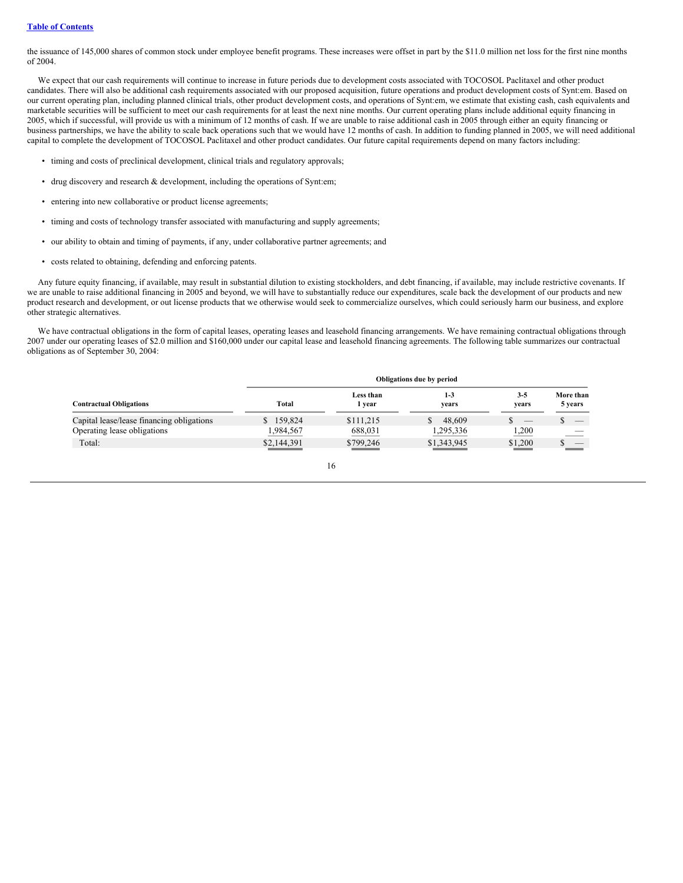the issuance of 145,000 shares of common stock under employee benefit programs. These increases were offset in part by the \$11.0 million net loss for the first nine months of 2004.

We expect that our cash requirements will continue to increase in future periods due to development costs associated with TOCOSOL Paclitaxel and other product candidates. There will also be additional cash requirements associated with our proposed acquisition, future operations and product development costs of Synt:em. Based on our current operating plan, including planned clinical trials, other product development costs, and operations of Synt:em, we estimate that existing cash, cash equivalents and marketable securities will be sufficient to meet our cash requirements for at least the next nine months. Our current operating plans include additional equity financing in 2005, which if successful, will provide us with a minimum of 12 months of cash. If we are unable to raise additional cash in 2005 through either an equity financing or business partnerships, we have the ability to scale back operations such that we would have 12 months of cash. In addition to funding planned in 2005, we will need additional capital to complete the development of TOCOSOL Paclitaxel and other product candidates. Our future capital requirements depend on many factors including:

- timing and costs of preclinical development, clinical trials and regulatory approvals;
- drug discovery and research & development, including the operations of Synt:em;
- entering into new collaborative or product license agreements;
- timing and costs of technology transfer associated with manufacturing and supply agreements;
- our ability to obtain and timing of payments, if any, under collaborative partner agreements; and
- costs related to obtaining, defending and enforcing patents.

Any future equity financing, if available, may result in substantial dilution to existing stockholders, and debt financing, if available, may include restrictive covenants. If we are unable to raise additional financing in 2005 and beyond, we will have to substantially reduce our expenditures, scale back the development of our products and new product research and development, or out license products that we otherwise would seek to commercialize ourselves, which could seriously harm our business, and explore other strategic alternatives.

We have contractual obligations in the form of capital leases, operating leases and leasehold financing arrangements. We have remaining contractual obligations through 2007 under our operating leases of \$2.0 million and \$160,000 under our capital lease and leasehold financing agreements. The following table summarizes our contractual obligations as of September 30, 2004:

|                                           |             |                     | Obligations due by period |                                 |                      |
|-------------------------------------------|-------------|---------------------|---------------------------|---------------------------------|----------------------|
| <b>Contractual Obligations</b>            | Total       | Less than<br>1 vear | $1 - 3$<br>vears          | $3-5$<br>vears                  | More than<br>5 years |
| Capital lease/lease financing obligations | \$159,824   | \$111.215           | 48,609                    | $\hspace{0.1mm}-\hspace{0.1mm}$ |                      |
| Operating lease obligations               | 1,984,567   | 688,031             | 1,295,336                 | 1,200                           |                      |
| Total:                                    | \$2,144,391 | \$799,246           | \$1,343,945               | \$1,200                         |                      |

16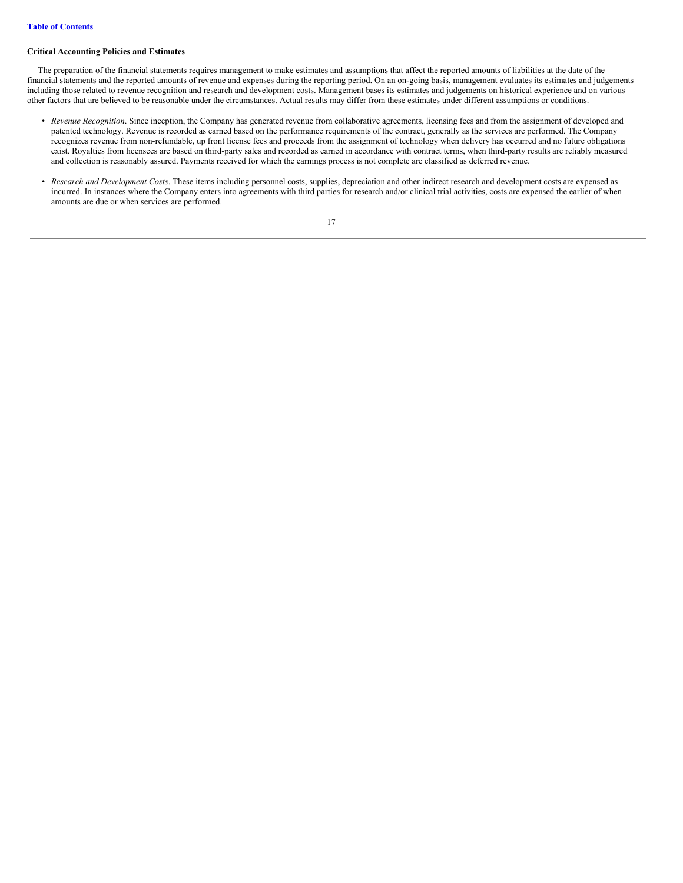## **Critical Accounting Policies and Estimates**

The preparation of the financial statements requires management to make estimates and assumptions that affect the reported amounts of liabilities at the date of the financial statements and the reported amounts of revenue and expenses during the reporting period. On an on-going basis, management evaluates its estimates and judgements including those related to revenue recognition and research and development costs. Management bases its estimates and judgements on historical experience and on various other factors that are believed to be reasonable under the circumstances. Actual results may differ from these estimates under different assumptions or conditions.

- *Revenue Recognition*. Since inception, the Company has generated revenue from collaborative agreements, licensing fees and from the assignment of developed and patented technology. Revenue is recorded as earned based on the performance requirements of the contract, generally as the services are performed. The Company recognizes revenue from non-refundable, up front license fees and proceeds from the assignment of technology when delivery has occurred and no future obligations exist. Royalties from licensees are based on third-party sales and recorded as earned in accordance with contract terms, when third-party results are reliably measured and collection is reasonably assured. Payments received for which the earnings process is not complete are classified as deferred revenue.
- *Research and Development Costs*. These items including personnel costs, supplies, depreciation and other indirect research and development costs are expensed as incurred. In instances where the Company enters into agreements with third parties for research and/or clinical trial activities, costs are expensed the earlier of when amounts are due or when services are performed.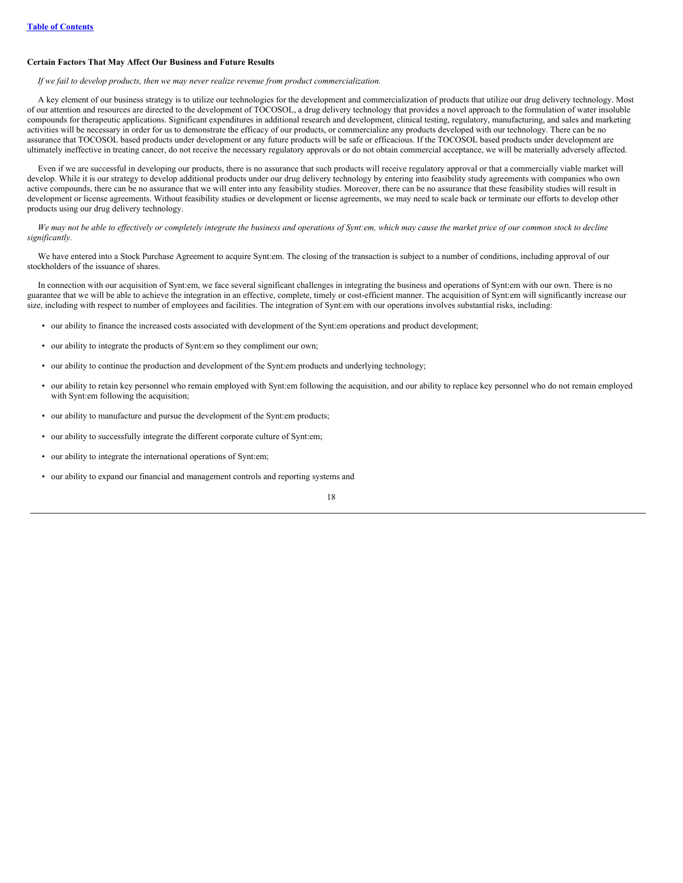#### **Certain Factors That May Affect Our Business and Future Results**

#### *If we fail to develop products, then we may never realize revenue from product commercialization.*

A key element of our business strategy is to utilize our technologies for the development and commercialization of products that utilize our drug delivery technology. Most of our attention and resources are directed to the development of TOCOSOL, a drug delivery technology that provides a novel approach to the formulation of water insoluble compounds for therapeutic applications. Significant expenditures in additional research and development, clinical testing, regulatory, manufacturing, and sales and marketing activities will be necessary in order for us to demonstrate the efficacy of our products, or commercialize any products developed with our technology. There can be no assurance that TOCOSOL based products under development or any future products will be safe or efficacious. If the TOCOSOL based products under development are ultimately ineffective in treating cancer, do not receive the necessary regulatory approvals or do not obtain commercial acceptance, we will be materially adversely affected.

Even if we are successful in developing our products, there is no assurance that such products will receive regulatory approval or that a commercially viable market will develop. While it is our strategy to develop additional products under our drug delivery technology by entering into feasibility study agreements with companies who own active compounds, there can be no assurance that we will enter into any feasibility studies. Moreover, there can be no assurance that these feasibility studies will result in development or license agreements. Without feasibility studies or development or license agreements, we may need to scale back or terminate our efforts to develop other products using our drug delivery technology.

We may not be able to effectively or completely integrate the business and operations of Synt:em, which may cause the market price of our common stock to decline *significantly.*

We have entered into a Stock Purchase Agreement to acquire Synt:em. The closing of the transaction is subject to a number of conditions, including approval of our stockholders of the issuance of shares.

In connection with our acquisition of Synt:em, we face several significant challenges in integrating the business and operations of Synt:em with our own. There is no guarantee that we will be able to achieve the integration in an effective, complete, timely or cost-efficient manner. The acquisition of Synt:em will significantly increase our size, including with respect to number of employees and facilities. The integration of Synt:em with our operations involves substantial risks, including:

- our ability to finance the increased costs associated with development of the Synt:em operations and product development;
- our ability to integrate the products of Synt:em so they compliment our own;
- our ability to continue the production and development of the Synt:em products and underlying technology;
- our ability to retain key personnel who remain employed with Synt:em following the acquisition, and our ability to replace key personnel who do not remain employed with Synt:em following the acquisition;
- our ability to manufacture and pursue the development of the Synt:em products;
- our ability to successfully integrate the different corporate culture of Synt:em;
- our ability to integrate the international operations of Synt:em;
- our ability to expand our financial and management controls and reporting systems and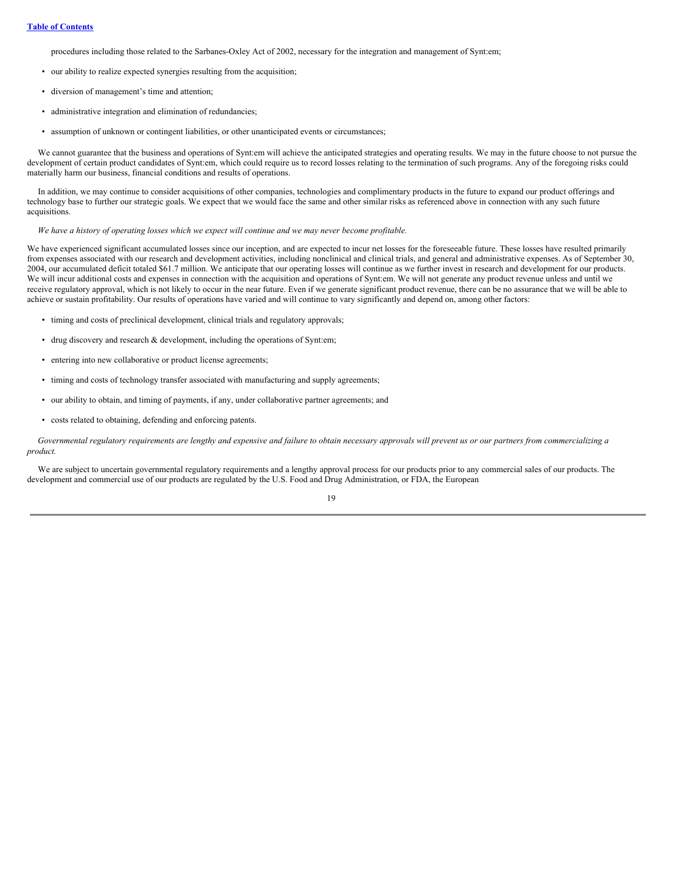procedures including those related to the Sarbanes-Oxley Act of 2002, necessary for the integration and management of Synt:em;

- our ability to realize expected synergies resulting from the acquisition;
- diversion of management's time and attention;
- administrative integration and elimination of redundancies;
- assumption of unknown or contingent liabilities, or other unanticipated events or circumstances;

We cannot guarantee that the business and operations of Synt:em will achieve the anticipated strategies and operating results. We may in the future choose to not pursue the development of certain product candidates of Synt:em, which could require us to record losses relating to the termination of such programs. Any of the foregoing risks could materially harm our business, financial conditions and results of operations.

In addition, we may continue to consider acquisitions of other companies, technologies and complimentary products in the future to expand our product offerings and technology base to further our strategic goals. We expect that we would face the same and other similar risks as referenced above in connection with any such future acquisitions.

#### We have a history of operating losses which we expect will continue and we may never become profitable.

We have experienced significant accumulated losses since our inception, and are expected to incur net losses for the foreseeable future. These losses have resulted primarily from expenses associated with our research and development activities, including nonclinical and clinical trials, and general and administrative expenses. As of September 30, 2004, our accumulated deficit totaled \$61.7 million. We anticipate that our operating losses will continue as we further invest in research and development for our products. We will incur additional costs and expenses in connection with the acquisition and operations of Synt:em. We will not generate any product revenue unless and until we receive regulatory approval, which is not likely to occur in the near future. Even if we generate significant product revenue, there can be no assurance that we will be able to achieve or sustain profitability. Our results of operations have varied and will continue to vary significantly and depend on, among other factors:

- timing and costs of preclinical development, clinical trials and regulatory approvals;
- drug discovery and research & development, including the operations of Synt:em;
- entering into new collaborative or product license agreements;
- timing and costs of technology transfer associated with manufacturing and supply agreements;
- our ability to obtain, and timing of payments, if any, under collaborative partner agreements; and
- costs related to obtaining, defending and enforcing patents.

Governmental regulatory requirements are lengthy and expensive and failure to obtain necessary approvals will prevent us or our partners from commercializing a *product.*

We are subject to uncertain governmental regulatory requirements and a lengthy approval process for our products prior to any commercial sales of our products. The development and commercial use of our products are regulated by the U.S. Food and Drug Administration, or FDA, the European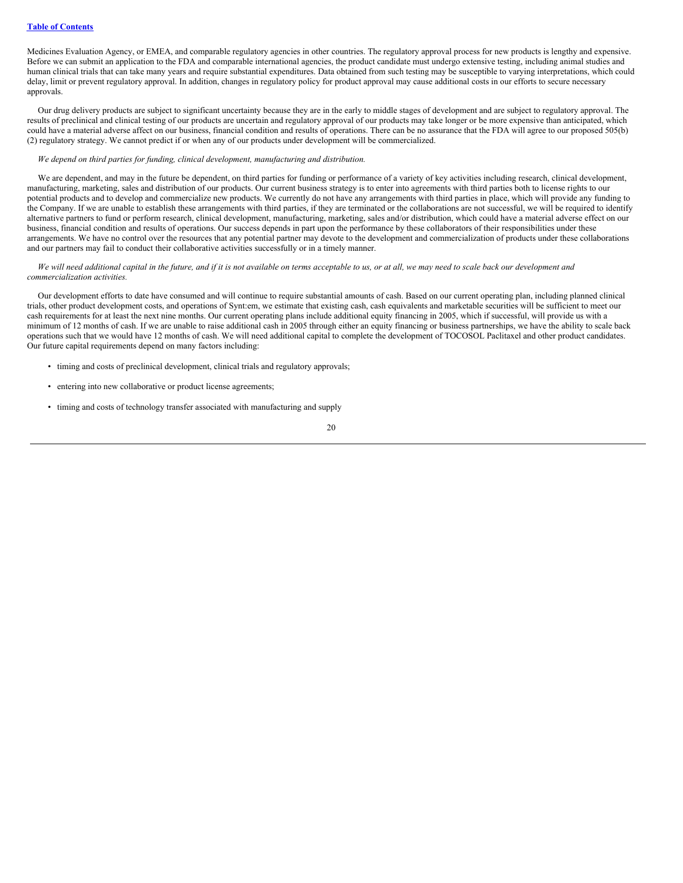#### **Table of [Contents](#page-0-0)**

Medicines Evaluation Agency, or EMEA, and comparable regulatory agencies in other countries. The regulatory approval process for new products is lengthy and expensive. Before we can submit an application to the FDA and comparable international agencies, the product candidate must undergo extensive testing, including animal studies and human clinical trials that can take many years and require substantial expenditures. Data obtained from such testing may be susceptible to varying interpretations, which could delay, limit or prevent regulatory approval. In addition, changes in regulatory policy for product approval may cause additional costs in our efforts to secure necessary approvals.

Our drug delivery products are subject to significant uncertainty because they are in the early to middle stages of development and are subject to regulatory approval. The results of preclinical and clinical testing of our products are uncertain and regulatory approval of our products may take longer or be more expensive than anticipated, which could have a material adverse affect on our business, financial condition and results of operations. There can be no assurance that the FDA will agree to our proposed 505(b) (2) regulatory strategy. We cannot predict if or when any of our products under development will be commercialized.

#### *We depend on third parties for funding, clinical development, manufacturing and distribution.*

We are dependent, and may in the future be dependent, on third parties for funding or performance of a variety of key activities including research, clinical development, manufacturing, marketing, sales and distribution of our products. Our current business strategy is to enter into agreements with third parties both to license rights to our potential products and to develop and commercialize new products. We currently do not have any arrangements with third parties in place, which will provide any funding to the Company. If we are unable to establish these arrangements with third parties, if they are terminated or the collaborations are not successful, we will be required to identify alternative partners to fund or perform research, clinical development, manufacturing, marketing, sales and/or distribution, which could have a material adverse effect on our business, financial condition and results of operations. Our success depends in part upon the performance by these collaborators of their responsibilities under these arrangements. We have no control over the resources that any potential partner may devote to the development and commercialization of products under these collaborations and our partners may fail to conduct their collaborative activities successfully or in a timely manner.

#### We will need additional capital in the future, and if it is not available on terms acceptable to us, or at all, we may need to scale back our development and *commercialization activities.*

Our development efforts to date have consumed and will continue to require substantial amounts of cash. Based on our current operating plan, including planned clinical trials, other product development costs, and operations of Synt:em, we estimate that existing cash, cash equivalents and marketable securities will be sufficient to meet our cash requirements for at least the next nine months. Our current operating plans include additional equity financing in 2005, which if successful, will provide us with a minimum of 12 months of cash. If we are unable to raise additional cash in 2005 through either an equity financing or business partnerships, we have the ability to scale back operations such that we would have 12 months of cash. We will need additional capital to complete the development of TOCOSOL Paclitaxel and other product candidates. Our future capital requirements depend on many factors including:

- timing and costs of preclinical development, clinical trials and regulatory approvals;
- entering into new collaborative or product license agreements;
- timing and costs of technology transfer associated with manufacturing and supply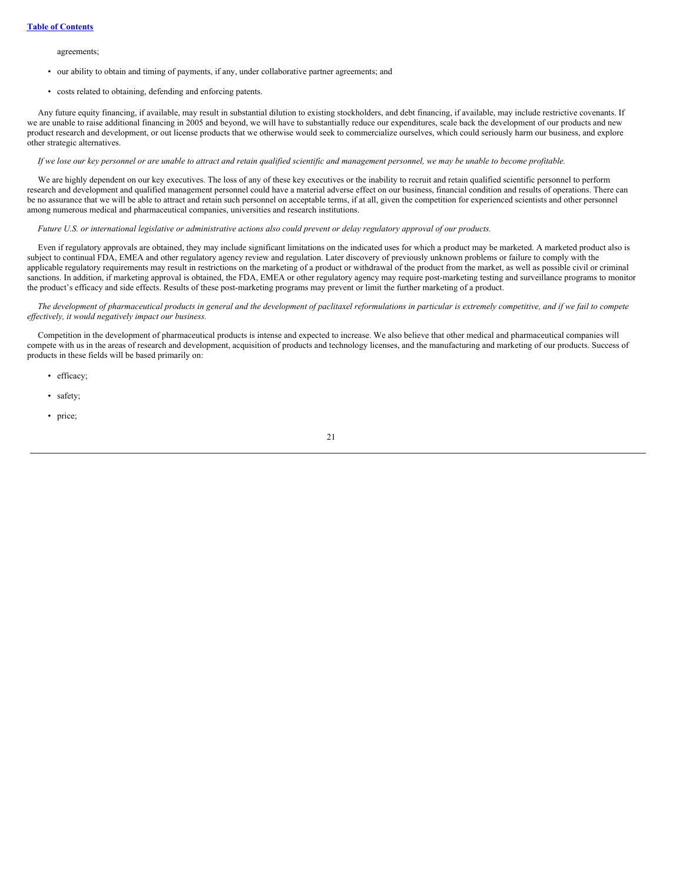agreements;

- our ability to obtain and timing of payments, if any, under collaborative partner agreements; and
- costs related to obtaining, defending and enforcing patents.

Any future equity financing, if available, may result in substantial dilution to existing stockholders, and debt financing, if available, may include restrictive covenants. If we are unable to raise additional financing in 2005 and beyond, we will have to substantially reduce our expenditures, scale back the development of our products and new product research and development, or out license products that we otherwise would seek to commercialize ourselves, which could seriously harm our business, and explore other strategic alternatives.

#### If we lose our key personnel or are unable to attract and retain qualified scientific and management personnel, we may be unable to become profitable.

We are highly dependent on our key executives. The loss of any of these key executives or the inability to recruit and retain qualified scientific personnel to perform research and development and qualified management personnel could have a material adverse effect on our business, financial condition and results of operations. There can be no assurance that we will be able to attract and retain such personnel on acceptable terms, if at all, given the competition for experienced scientists and other personnel among numerous medical and pharmaceutical companies, universities and research institutions.

#### Future U.S. or international legislative or administrative actions also could prevent or delay regulatory approval of our products.

Even if regulatory approvals are obtained, they may include significant limitations on the indicated uses for which a product may be marketed. A marketed product also is subject to continual FDA, EMEA and other regulatory agency review and regulation. Later discovery of previously unknown problems or failure to comply with the applicable regulatory requirements may result in restrictions on the marketing of a product or withdrawal of the product from the market, as well as possible civil or criminal sanctions. In addition, if marketing approval is obtained, the FDA, EMEA or other regulatory agency may require post-marketing testing and surveillance programs to monitor the product's efficacy and side effects. Results of these post-marketing programs may prevent or limit the further marketing of a product.

The development of pharmaceutical products in general and the development of paclitaxel reformulations in particular is extremely competitive, and if we fail to compete *ef ectively, it would negatively impact our business.*

Competition in the development of pharmaceutical products is intense and expected to increase. We also believe that other medical and pharmaceutical companies will compete with us in the areas of research and development, acquisition of products and technology licenses, and the manufacturing and marketing of our products. Success of products in these fields will be based primarily on:

- efficacy;
- safety;
- price;

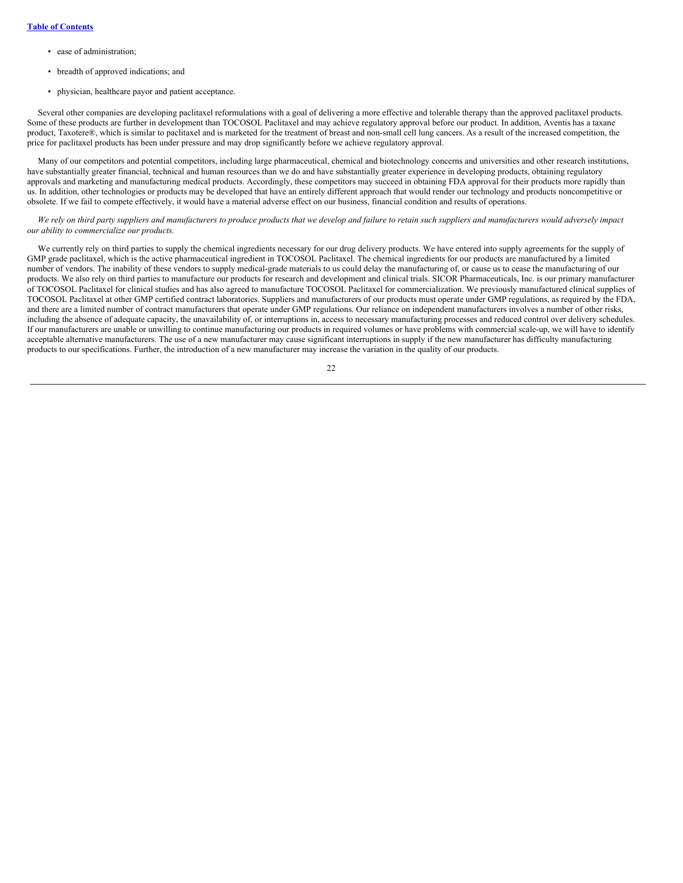- ease of administration;
- breadth of approved indications; and
- physician, healthcare payor and patient acceptance.

Several other companies are developing paclitaxel reformulations with a goal of delivering a more effective and tolerable therapy than the approved paclitaxel products. Some of these products are further in development than TOCOSOL Paclitaxel and may achieve regulatory approval before our product. In addition, Aventis has a taxane product, Taxotere®, which is similar to paclitaxel and is marketed for the treatment of breast and non-small cell lung cancers. As a result of the increased competition, the price for paclitaxel products has been under pressure and may drop significantly before we achieve regulatory approval.

Many of our competitors and potential competitors, including large pharmaceutical, chemical and biotechnology concerns and universities and other research institutions, have substantially greater financial, technical and human resources than we do and have substantially greater experience in developing products, obtaining regulatory approvals and marketing and manufacturing medical products. Accordingly, these competitors may succeed in obtaining FDA approval for their products more rapidly than us. In addition, other technologies or products may be developed that have an entirely different approach that would render our technology and products noncompetitive or obsolete. If we fail to compete effectively, it would have a material adverse effect on our business, financial condition and results of operations.

#### We rely on third party suppliers and manufacturers to produce products that we develop and failure to retain such suppliers and manufacturers would adversely impact *our ability to commercialize our products.*

We currently rely on third parties to supply the chemical ingredients necessary for our drug delivery products. We have entered into supply agreements for the supply of GMP grade paclitaxel, which is the active pharmaceutical ingredient in TOCOSOL Paclitaxel. The chemical ingredients for our products are manufactured by a limited number of vendors. The inability of these vendors to supply medical-grade materials to us could delay the manufacturing of, or cause us to cease the manufacturing of our products. We also rely on third parties to manufacture our products for research and development and clinical trials. SICOR Pharmaceuticals, Inc. is our primary manufacturer of TOCOSOL Paclitaxel for clinical studies and has also agreed to manufacture TOCOSOL Paclitaxel for commercialization. We previously manufactured clinical supplies of TOCOSOL Paclitaxel at other GMP certified contract laboratories. Suppliers and manufacturers of our products must operate under GMP regulations, as required by the FDA, and there are a limited number of contract manufacturers that operate under GMP regulations. Our reliance on independent manufacturers involves a number of other risks, including the absence of adequate capacity, the unavailability of, or interruptions in, access to necessary manufacturing processes and reduced control over delivery schedules. If our manufacturers are unable or unwilling to continue manufacturing our products in required volumes or have problems with commercial scale-up, we will have to identify acceptable alternative manufacturers. The use of a new manufacturer may cause significant interruptions in supply if the new manufacturer has difficulty manufacturing products to our specifications. Further, the introduction of a new manufacturer may increase the variation in the quality of our products.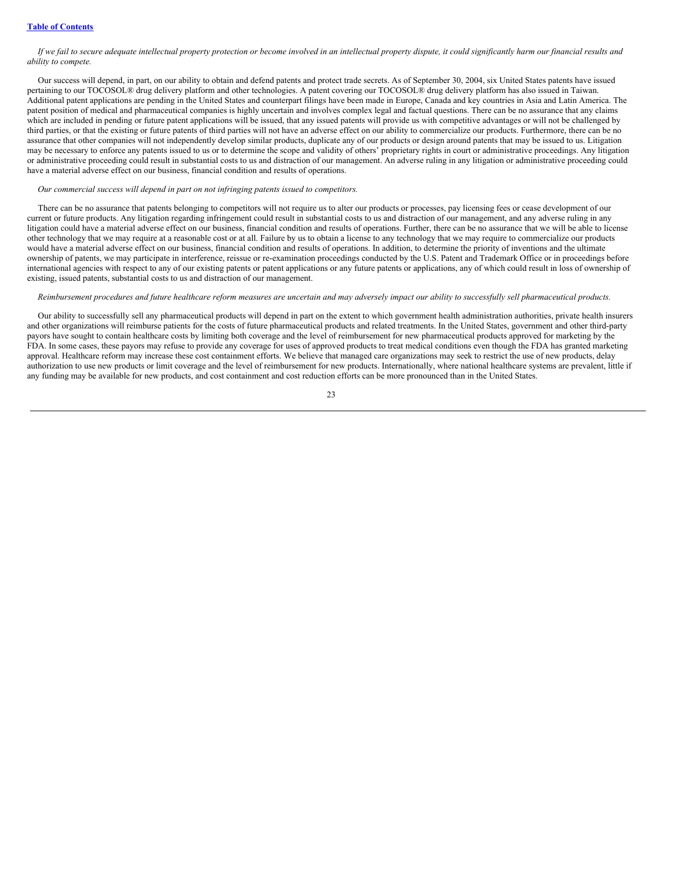#### If we fail to secure adequate intellectual property protection or become involved in an intellectual property dispute, it could significantly harm our financial results and *ability to compete.*

Our success will depend, in part, on our ability to obtain and defend patents and protect trade secrets. As of September 30, 2004, six United States patents have issued pertaining to our TOCOSOL® drug delivery platform and other technologies. A patent covering our TOCOSOL® drug delivery platform has also issued in Taiwan. Additional patent applications are pending in the United States and counterpart filings have been made in Europe, Canada and key countries in Asia and Latin America. The patent position of medical and pharmaceutical companies is highly uncertain and involves complex legal and factual questions. There can be no assurance that any claims which are included in pending or future patent applications will be issued, that any issued patents will provide us with competitive advantages or will not be challenged by third parties, or that the existing or future patents of third parties will not have an adverse effect on our ability to commercialize our products. Furthermore, there can be no assurance that other companies will not independently develop similar products, duplicate any of our products or design around patents that may be issued to us. Litigation may be necessary to enforce any patents issued to us or to determine the scope and validity of others' proprietary rights in court or administrative proceedings. Any litigation or administrative proceeding could result in substantial costs to us and distraction of our management. An adverse ruling in any litigation or administrative proceeding could have a material adverse effect on our business, financial condition and results of operations.

#### *Our commercial success will depend in part on not infringing patents issued to competitors.*

There can be no assurance that patents belonging to competitors will not require us to alter our products or processes, pay licensing fees or cease development of our current or future products. Any litigation regarding infringement could result in substantial costs to us and distraction of our management, and any adverse ruling in any litigation could have a material adverse effect on our business, financial condition and results of operations. Further, there can be no assurance that we will be able to license other technology that we may require at a reasonable cost or at all. Failure by us to obtain a license to any technology that we may require to commercialize our products would have a material adverse effect on our business, financial condition and results of operations. In addition, to determine the priority of inventions and the ultimate ownership of patents, we may participate in interference, reissue or re-examination proceedings conducted by the U.S. Patent and Trademark Office or in proceedings before international agencies with respect to any of our existing patents or patent applications or any future patents or applications, any of which could result in loss of ownership of existing, issued patents, substantial costs to us and distraction of our management.

#### Reimbursement procedures and future healthcare reform measures are uncertain and may adversely impact our ability to successfully sell pharmaceutical products.

Our ability to successfully sell any pharmaceutical products will depend in part on the extent to which government health administration authorities, private health insurers and other organizations will reimburse patients for the costs of future pharmaceutical products and related treatments. In the United States, government and other third-party payors have sought to contain healthcare costs by limiting both coverage and the level of reimbursement for new pharmaceutical products approved for marketing by the FDA. In some cases, these payors may refuse to provide any coverage for uses of approved products to treat medical conditions even though the FDA has granted marketing approval. Healthcare reform may increase these cost containment efforts. We believe that managed care organizations may seek to restrict the use of new products, delay authorization to use new products or limit coverage and the level of reimbursement for new products. Internationally, where national healthcare systems are prevalent, little if any funding may be available for new products, and cost containment and cost reduction efforts can be more pronounced than in the United States.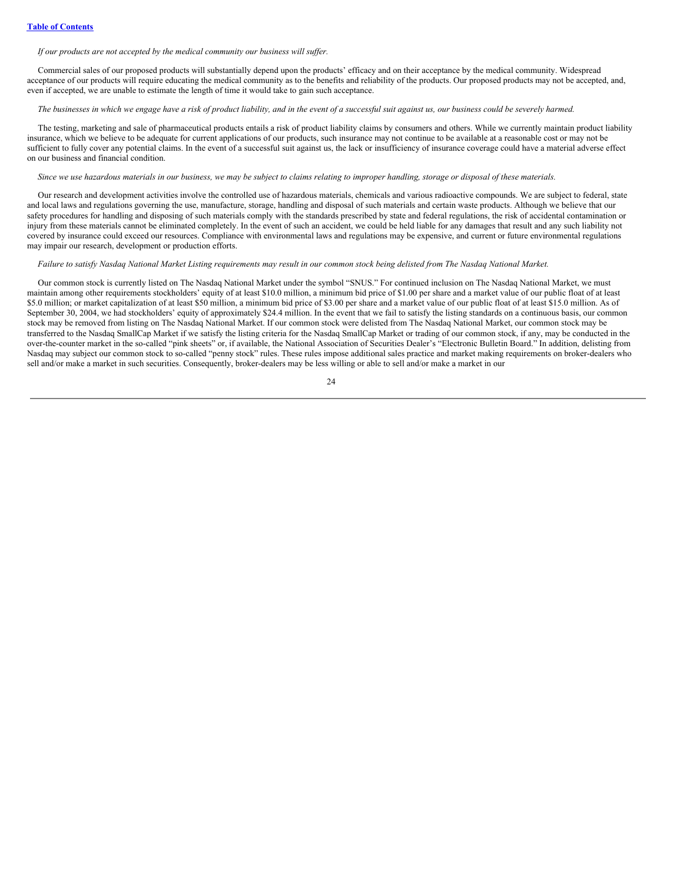#### *If our products are not accepted by the medical community our business will suffer.*

Commercial sales of our proposed products will substantially depend upon the products' efficacy and on their acceptance by the medical community. Widespread acceptance of our products will require educating the medical community as to the benefits and reliability of the products. Our proposed products may not be accepted, and, even if accepted, we are unable to estimate the length of time it would take to gain such acceptance.

The businesses in which we engage have a risk of product liability, and in the event of a successful suit against us, our business could be severely harmed.

The testing, marketing and sale of pharmaceutical products entails a risk of product liability claims by consumers and others. While we currently maintain product liability insurance, which we believe to be adequate for current applications of our products, such insurance may not continue to be available at a reasonable cost or may not be sufficient to fully cover any potential claims. In the event of a successful suit against us, the lack or insufficiency of insurance coverage could have a material adverse effect on our business and financial condition.

#### Since we use hazardous materials in our business, we may be subject to claims relating to improper handling, storage or disposal of these materials.

Our research and development activities involve the controlled use of hazardous materials, chemicals and various radioactive compounds. We are subject to federal, state and local laws and regulations governing the use, manufacture, storage, handling and disposal of such materials and certain waste products. Although we believe that our safety procedures for handling and disposing of such materials comply with the standards prescribed by state and federal regulations, the risk of accidental contamination or injury from these materials cannot be eliminated completely. In the event of such an accident, we could be held liable for any damages that result and any such liability not covered by insurance could exceed our resources. Compliance with environmental laws and regulations may be expensive, and current or future environmental regulations may impair our research, development or production efforts.

#### Failure to satisfy Nasdaq National Market Listing requirements may result in our common stock being delisted from The Nasdaq National Market.

Our common stock is currently listed on The Nasdaq National Market under the symbol "SNUS." For continued inclusion on The Nasdaq National Market, we must maintain among other requirements stockholders' equity of at least \$10.0 million, a minimum bid price of \$1.00 per share and a market value of our public float of at least \$5.0 million; or market capitalization of at least \$50 million, a minimum bid price of \$3.00 per share and a market value of our public float of at least \$15.0 million. As of September 30, 2004, we had stockholders' equity of approximately \$24.4 million. In the event that we fail to satisfy the listing standards on a continuous basis, our common stock may be removed from listing on The Nasdaq National Market. If our common stock were delisted from The Nasdaq National Market, our common stock may be transferred to the Nasdaq SmallCap Market if we satisfy the listing criteria for the Nasdaq SmallCap Market or trading of our common stock, if any, may be conducted in the over-the-counter market in the so-called "pink sheets" or, if available, the National Association of Securities Dealer's "Electronic Bulletin Board." In addition, delisting from Nasdaq may subject our common stock to so-called "penny stock" rules. These rules impose additional sales practice and market making requirements on broker-dealers who sell and/or make a market in such securities. Consequently, broker-dealers may be less willing or able to sell and/or make a market in our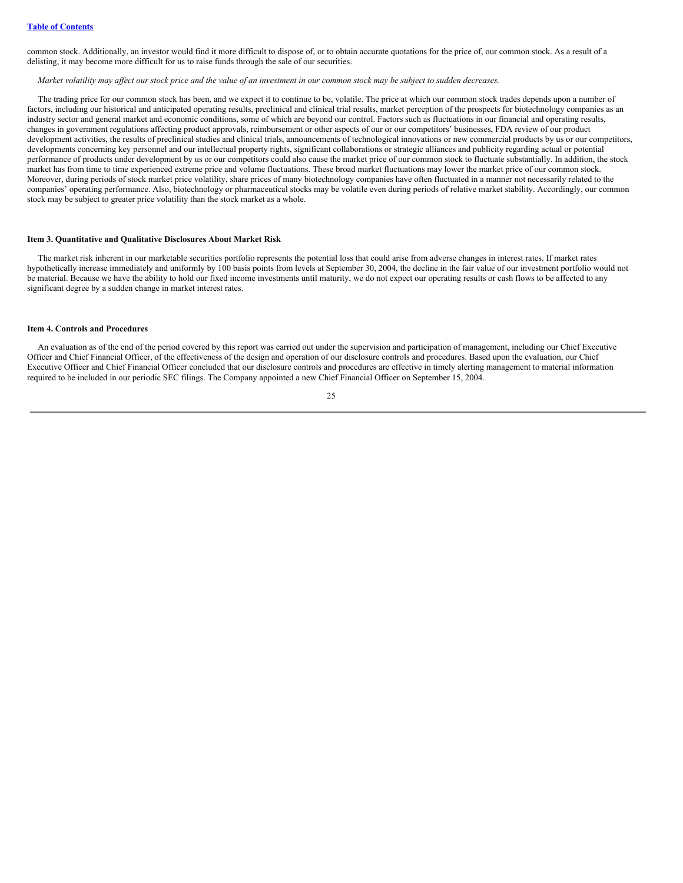common stock. Additionally, an investor would find it more difficult to dispose of, or to obtain accurate quotations for the price of, our common stock. As a result of a delisting, it may become more difficult for us to raise funds through the sale of our securities.

#### Market volatility may affect our stock price and the value of an investment in our common stock may be subject to sudden decreases.

The trading price for our common stock has been, and we expect it to continue to be, volatile. The price at which our common stock trades depends upon a number of factors, including our historical and anticipated operating results, preclinical and clinical trial results, market perception of the prospects for biotechnology companies as an industry sector and general market and economic conditions, some of which are beyond our control. Factors such as fluctuations in our financial and operating results, changes in government regulations affecting product approvals, reimbursement or other aspects of our or our competitors' businesses, FDA review of our product development activities, the results of preclinical studies and clinical trials, announcements of technological innovations or new commercial products by us or our competitors, developments concerning key personnel and our intellectual property rights, significant collaborations or strategic alliances and publicity regarding actual or potential performance of products under development by us or our competitors could also cause the market price of our common stock to fluctuate substantially. In addition, the stock market has from time to time experienced extreme price and volume fluctuations. These broad market fluctuations may lower the market price of our common stock. Moreover, during periods of stock market price volatility, share prices of many biotechnology companies have often fluctuated in a manner not necessarily related to the companies' operating performance. Also, biotechnology or pharmaceutical stocks may be volatile even during periods of relative market stability. Accordingly, our common stock may be subject to greater price volatility than the stock market as a whole.

#### <span id="page-24-0"></span>**Item 3. Quantitative and Qualitative Disclosures About Market Risk**

The market risk inherent in our marketable securities portfolio represents the potential loss that could arise from adverse changes in interest rates. If market rates hypothetically increase immediately and uniformly by 100 basis points from levels at September 30, 2004, the decline in the fair value of our investment portfolio would not be material. Because we have the ability to hold our fixed income investments until maturity, we do not expect our operating results or cash flows to be affected to any significant degree by a sudden change in market interest rates.

#### <span id="page-24-1"></span>**Item 4. Controls and Procedures**

An evaluation as of the end of the period covered by this report was carried out under the supervision and participation of management, including our Chief Executive Officer and Chief Financial Officer, of the effectiveness of the design and operation of our disclosure controls and procedures. Based upon the evaluation, our Chief Executive Officer and Chief Financial Officer concluded that our disclosure controls and procedures are effective in timely alerting management to material information required to be included in our periodic SEC filings. The Company appointed a new Chief Financial Officer on September 15, 2004.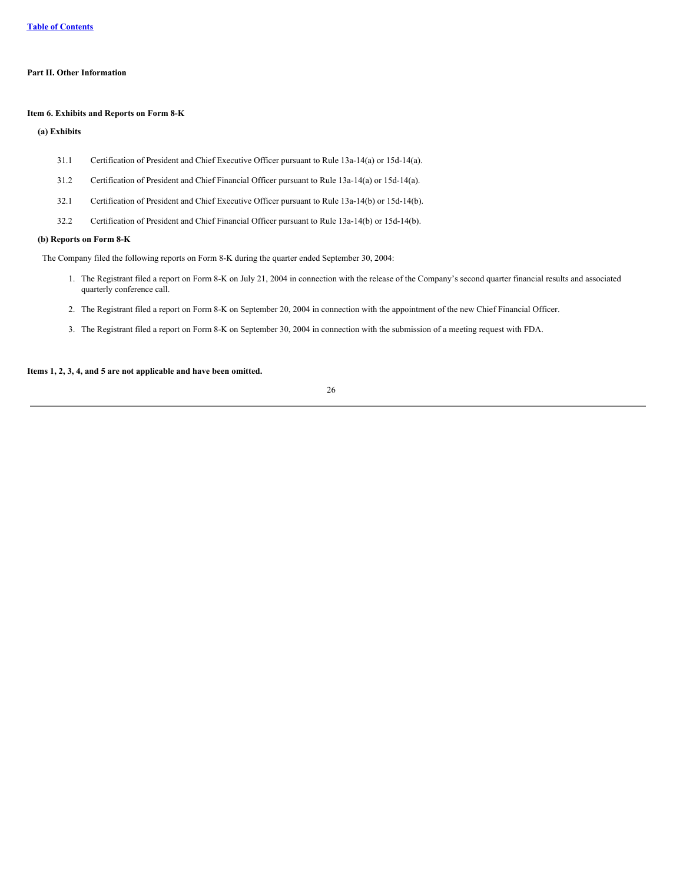#### <span id="page-25-1"></span><span id="page-25-0"></span>**Part II. Other Information**

#### **Item 6. Exhibits and Reports on Form 8-K**

#### **(a) Exhibits**

- 31.1 Certification of President and Chief Executive Officer pursuant to Rule 13a-14(a) or 15d-14(a).
- 31.2 Certification of President and Chief Financial Officer pursuant to Rule 13a-14(a) or 15d-14(a).
- 32.1 Certification of President and Chief Executive Officer pursuant to Rule 13a-14(b) or 15d-14(b).
- 32.2 Certification of President and Chief Financial Officer pursuant to Rule 13a-14(b) or 15d-14(b).

#### **(b) Reports on Form 8-K**

The Company filed the following reports on Form 8-K during the quarter ended September 30, 2004:

- 1. The Registrant filed a report on Form 8-K on July 21, 2004 in connection with the release of the Company's second quarter financial results and associated quarterly conference call.
- 2. The Registrant filed a report on Form 8-K on September 20, 2004 in connection with the appointment of the new Chief Financial Officer.
- 3. The Registrant filed a report on Form 8-K on September 30, 2004 in connection with the submission of a meeting request with FDA.

#### <span id="page-25-2"></span>**Items 1, 2, 3, 4, and 5 are not applicable and have been omitted.**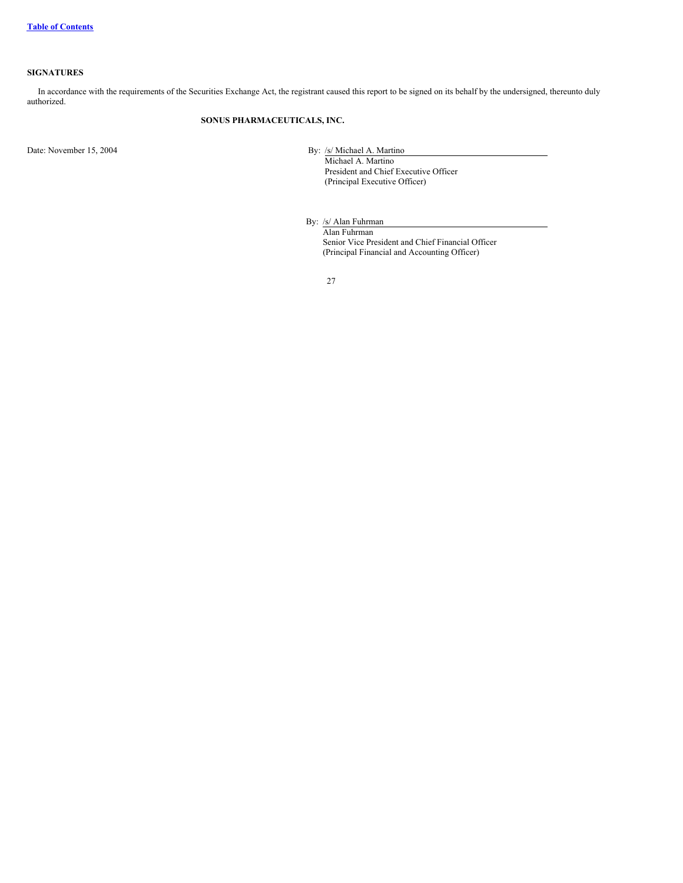### **SIGNATURES**

In accordance with the requirements of the Securities Exchange Act, the registrant caused this report to be signed on its behalf by the undersigned, thereunto duly authorized.

## **SONUS PHARMACEUTICALS, INC.**

## Date: November 15, 2004 By: /s/ Michael A. Martino

Michael A. Martino President and Chief Executive Officer (Principal Executive Officer)

By: /s/ Alan Fuhrman

Alan Fuhrman Senior Vice President and Chief Financial Officer (Principal Financial and Accounting Officer)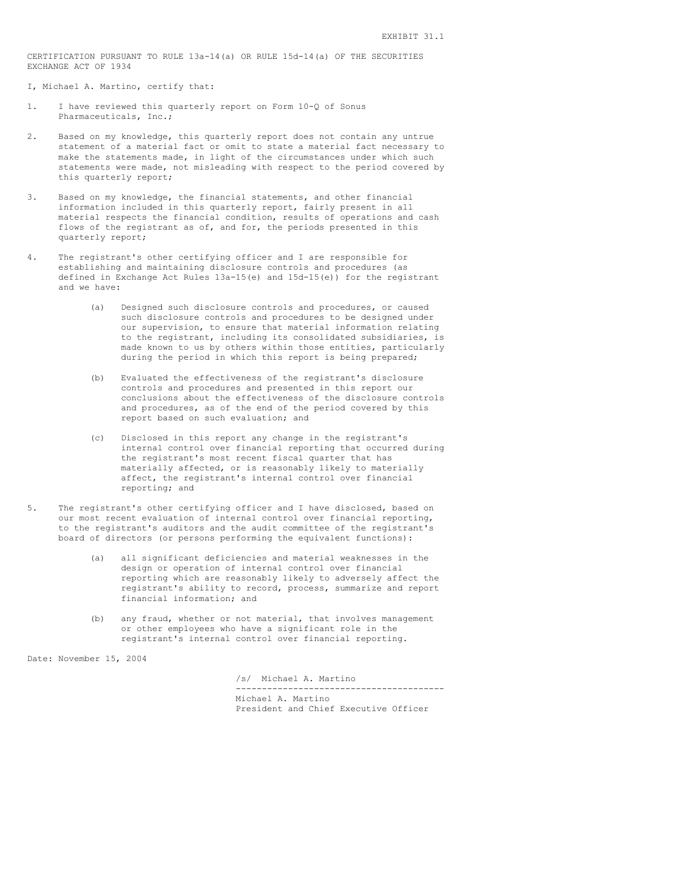<span id="page-27-0"></span>CERTIFICATION PURSUANT TO RULE 13a-14(a) OR RULE 15d-14(a) OF THE SECURITIES EXCHANGE ACT OF 1934

I, Michael A. Martino, certify that:

- 1. I have reviewed this quarterly report on Form 10-Q of Sonus Pharmaceuticals, Inc.;
- 2. Based on my knowledge, this quarterly report does not contain any untrue statement of a material fact or omit to state a material fact necessary to make the statements made, in light of the circumstances under which such statements were made, not misleading with respect to the period covered by this quarterly report;
- 3. Based on my knowledge, the financial statements, and other financial information included in this quarterly report, fairly present in all material respects the financial condition, results of operations and cash flows of the registrant as of, and for, the periods presented in this quarterly report;
- 4. The registrant's other certifying officer and I are responsible for establishing and maintaining disclosure controls and procedures (as defined in Exchange Act Rules 13a-15(e) and 15d-15(e)) for the registrant and we have:
	- (a) Designed such disclosure controls and procedures, or caused such disclosure controls and procedures to be designed under our supervision, to ensure that material information relating to the registrant, including its consolidated subsidiaries, is made known to us by others within those entities, particularly during the period in which this report is being prepared;
	- (b) Evaluated the effectiveness of the registrant's disclosure controls and procedures and presented in this report our conclusions about the effectiveness of the disclosure controls and procedures, as of the end of the period covered by this report based on such evaluation; and
	- (c) Disclosed in this report any change in the registrant's internal control over financial reporting that occurred during the registrant's most recent fiscal quarter that has materially affected, or is reasonably likely to materially affect, the registrant's internal control over financial reporting; and
- 5. The registrant's other certifying officer and I have disclosed, based on our most recent evaluation of internal control over financial reporting, to the registrant's auditors and the audit committee of the registrant's board of directors (or persons performing the equivalent functions):
	- (a) all significant deficiencies and material weaknesses in the design or operation of internal control over financial reporting which are reasonably likely to adversely affect the registrant's ability to record, process, summarize and report financial information; and
	- (b) any fraud, whether or not material, that involves management or other employees who have a significant role in the registrant's internal control over financial reporting.

Date: November 15, 2004

/s/ Michael A. Martino

----------------------------------------

Michael A. Martino President and Chief Executive Officer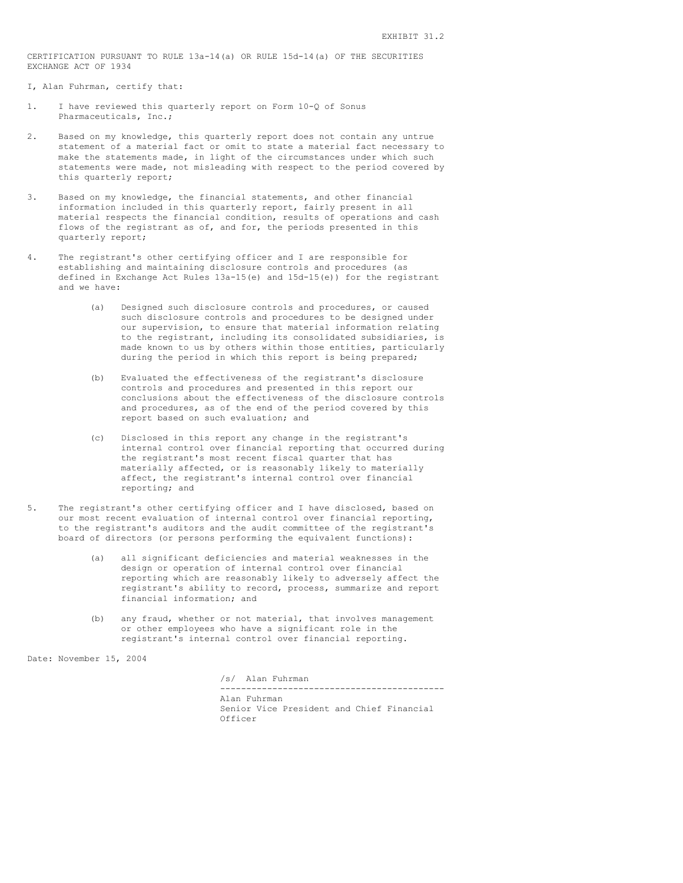<span id="page-28-0"></span>CERTIFICATION PURSUANT TO RULE 13a-14(a) OR RULE 15d-14(a) OF THE SECURITIES EXCHANGE ACT OF 1934

I, Alan Fuhrman, certify that:

- 1. I have reviewed this quarterly report on Form 10-Q of Sonus Pharmaceuticals, Inc.;
- 2. Based on my knowledge, this quarterly report does not contain any untrue statement of a material fact or omit to state a material fact necessary to make the statements made, in light of the circumstances under which such statements were made, not misleading with respect to the period covered by this quarterly report;
- 3. Based on my knowledge, the financial statements, and other financial information included in this quarterly report, fairly present in all material respects the financial condition, results of operations and cash flows of the registrant as of, and for, the periods presented in this quarterly report;
- 4. The registrant's other certifying officer and I are responsible for establishing and maintaining disclosure controls and procedures (as defined in Exchange Act Rules 13a-15(e) and 15d-15(e)) for the registrant and we have:
	- (a) Designed such disclosure controls and procedures, or caused such disclosure controls and procedures to be designed under our supervision, to ensure that material information relating to the registrant, including its consolidated subsidiaries, is made known to us by others within those entities, particularly during the period in which this report is being prepared;
	- (b) Evaluated the effectiveness of the registrant's disclosure controls and procedures and presented in this report our conclusions about the effectiveness of the disclosure controls and procedures, as of the end of the period covered by this report based on such evaluation; and
	- (c) Disclosed in this report any change in the registrant's internal control over financial reporting that occurred during the registrant's most recent fiscal quarter that has materially affected, or is reasonably likely to materially affect, the registrant's internal control over financial reporting; and
- 5. The registrant's other certifying officer and I have disclosed, based on our most recent evaluation of internal control over financial reporting, to the registrant's auditors and the audit committee of the registrant's board of directors (or persons performing the equivalent functions):
	- (a) all significant deficiencies and material weaknesses in the design or operation of internal control over financial reporting which are reasonably likely to adversely affect the registrant's ability to record, process, summarize and report financial information; and
	- (b) any fraud, whether or not material, that involves management or other employees who have a significant role in the registrant's internal control over financial reporting.

Date: November 15, 2004

/s/ Alan Fuhrman -------------------------------------------

Alan Fuhrman Senior Vice President and Chief Financial Officer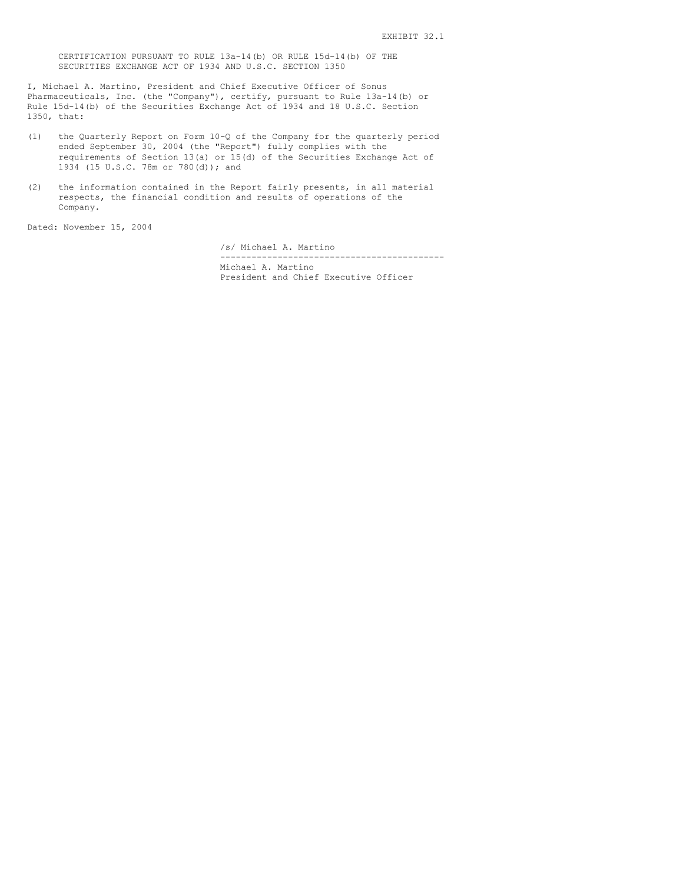<span id="page-29-0"></span>CERTIFICATION PURSUANT TO RULE 13a-14(b) OR RULE 15d-14(b) OF THE SECURITIES EXCHANGE ACT OF 1934 AND U.S.C. SECTION 1350

I, Michael A. Martino, President and Chief Executive Officer of Sonus Pharmaceuticals, Inc. (the "Company"), certify, pursuant to Rule 13a-14(b) or Rule 15d-14(b) of the Securities Exchange Act of 1934 and 18 U.S.C. Section 1350, that:

- (1) the Quarterly Report on Form 10-Q of the Company for the quarterly period ended September 30, 2004 (the "Report") fully complies with the requirements of Section 13(a) or 15(d) of the Securities Exchange Act of 1934 (15 U.S.C. 78m or 780(d)); and
- (2) the information contained in the Report fairly presents, in all material respects, the financial condition and results of operations of the Company.

Dated: November 15, 2004

/s/ Michael A. Martino ------------------------------------------- Michael A. Martino President and Chief Executive Officer